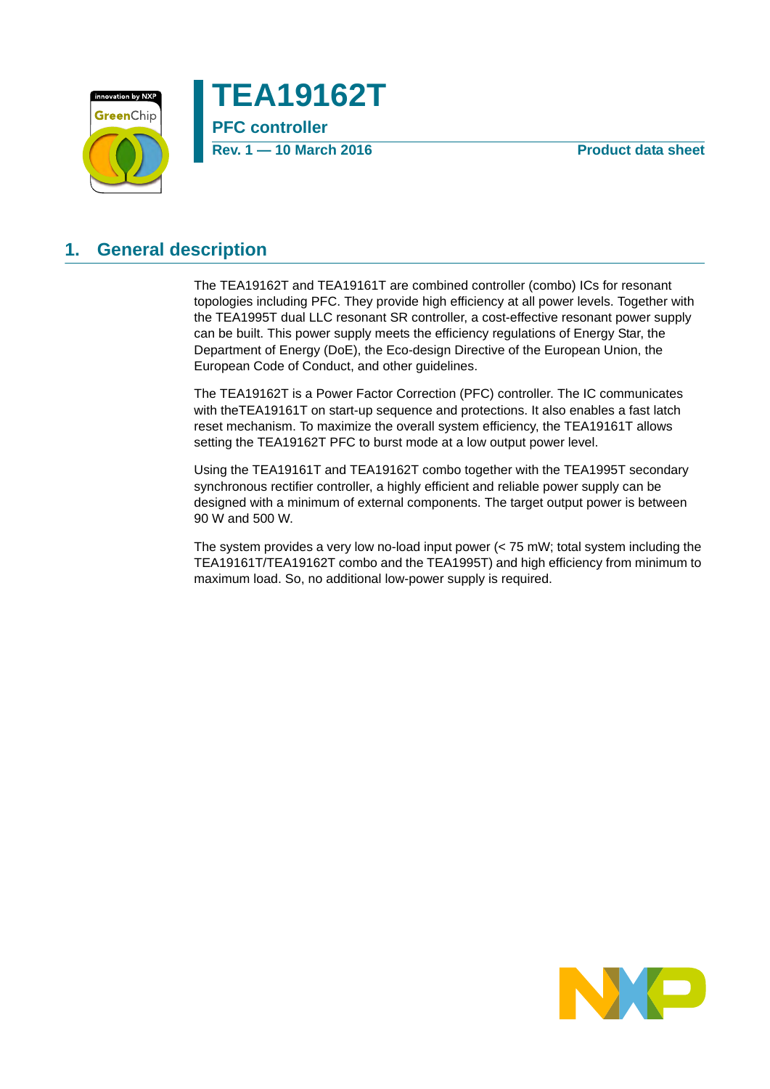



## <span id="page-0-0"></span>**1. General description**

The TEA19162T and TEA19161T are combined controller (combo) ICs for resonant topologies including PFC. They provide high efficiency at all power levels. Together with the TEA1995T dual LLC resonant SR controller, a cost-effective resonant power supply can be built. This power supply meets the efficiency regulations of Energy Star, the Department of Energy (DoE), the Eco-design Directive of the European Union, the European Code of Conduct, and other guidelines.

The TEA19162T is a Power Factor Correction (PFC) controller. The IC communicates with theTEA19161T on start-up sequence and protections. It also enables a fast latch reset mechanism. To maximize the overall system efficiency, the TEA19161T allows setting the TEA19162T PFC to burst mode at a low output power level.

Using the TEA19161T and TEA19162T combo together with the TEA1995T secondary synchronous rectifier controller, a highly efficient and reliable power supply can be designed with a minimum of external components. The target output power is between 90 W and 500 W.

The system provides a very low no-load input power (< 75 mW; total system including the TEA19161T/TEA19162T combo and the TEA1995T) and high efficiency from minimum to maximum load. So, no additional low-power supply is required.

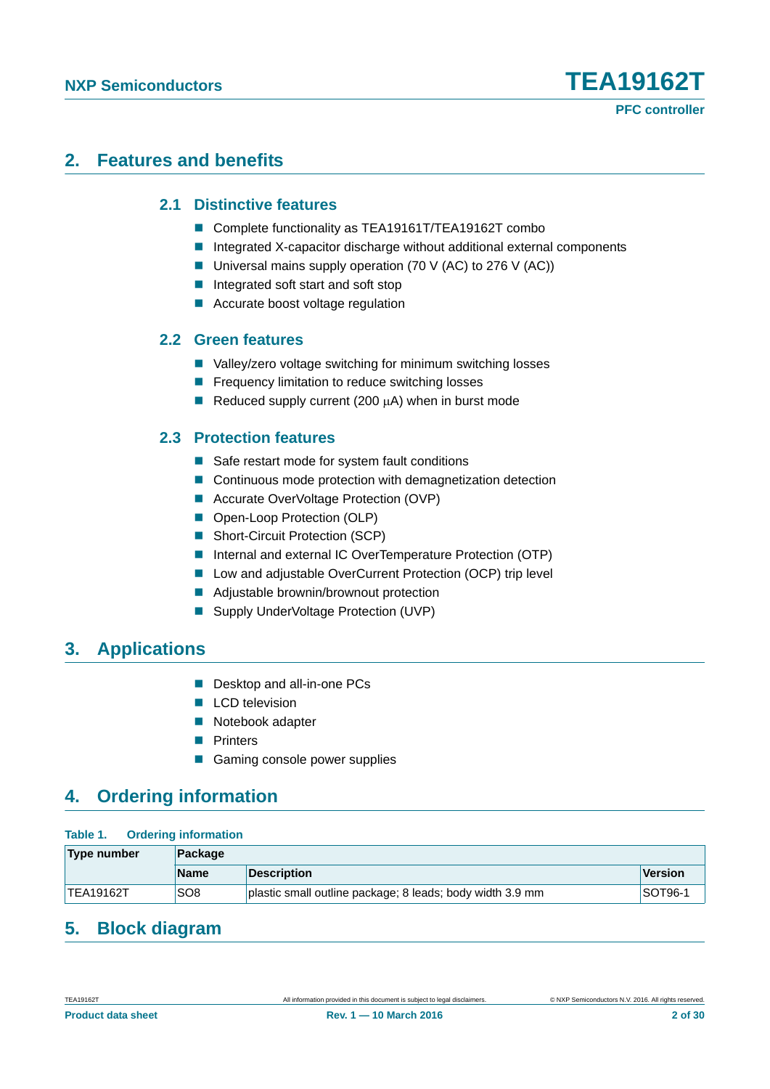## <span id="page-1-1"></span><span id="page-1-0"></span>**2. Features and benefits**

#### **2.1 Distinctive features**

- Complete functionality as TEA19161T/TEA19162T combo
- Integrated X-capacitor discharge without additional external components
- Universal mains supply operation (70 V (AC) to 276 V (AC))
- Integrated soft start and soft stop
- **Accurate boost voltage regulation**

#### <span id="page-1-2"></span>**2.2 Green features**

- Valley/zero voltage switching for minimum switching losses
- **Figure 1** Frequency limitation to reduce switching losses
- Reduced supply current (200  $\mu$ A) when in burst mode

#### <span id="page-1-3"></span>**2.3 Protection features**

- Safe restart mode for system fault conditions
- Continuous mode protection with demagnetization detection
- Accurate OverVoltage Protection (OVP)
- Open-Loop Protection (OLP)
- Short-Circuit Protection (SCP)
- Internal and external IC OverTemperature Protection (OTP)
- Low and adjustable OverCurrent Protection (OCP) trip level
- **Adjustable brownin/brownout protection**
- Supply UnderVoltage Protection (UVP)

## <span id="page-1-4"></span>**3. Applications**

- Desktop and all-in-one PCs
- LCD television
- Notebook adapter
- **Printers**
- Gaming console power supplies

## <span id="page-1-5"></span>**4. Ordering information**

#### **Table 1. Ordering information**

| <b>Type number</b> | <b>Package</b>  |                                                           |         |  |
|--------------------|-----------------|-----------------------------------------------------------|---------|--|
|                    | <b>Name</b>     | Description                                               | Version |  |
| TEA19162T          | SO <sub>8</sub> | plastic small outline package; 8 leads; body width 3.9 mm | SOT96-1 |  |

## <span id="page-1-6"></span>**5. Block diagram**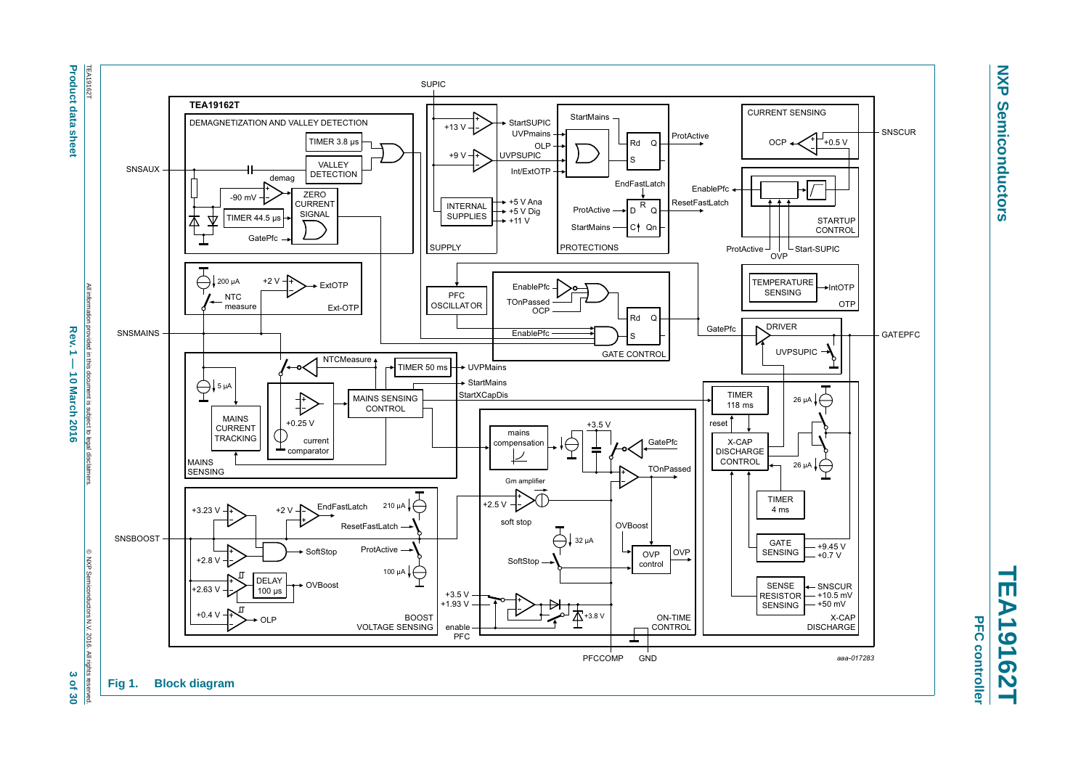

**NXP NXP Semiconductors Semiconductors** 

> <span id="page-2-0"></span>**TEA19162T** m.  $\overline{\mathbf{H}}$ **A19162T**

**Sof 30**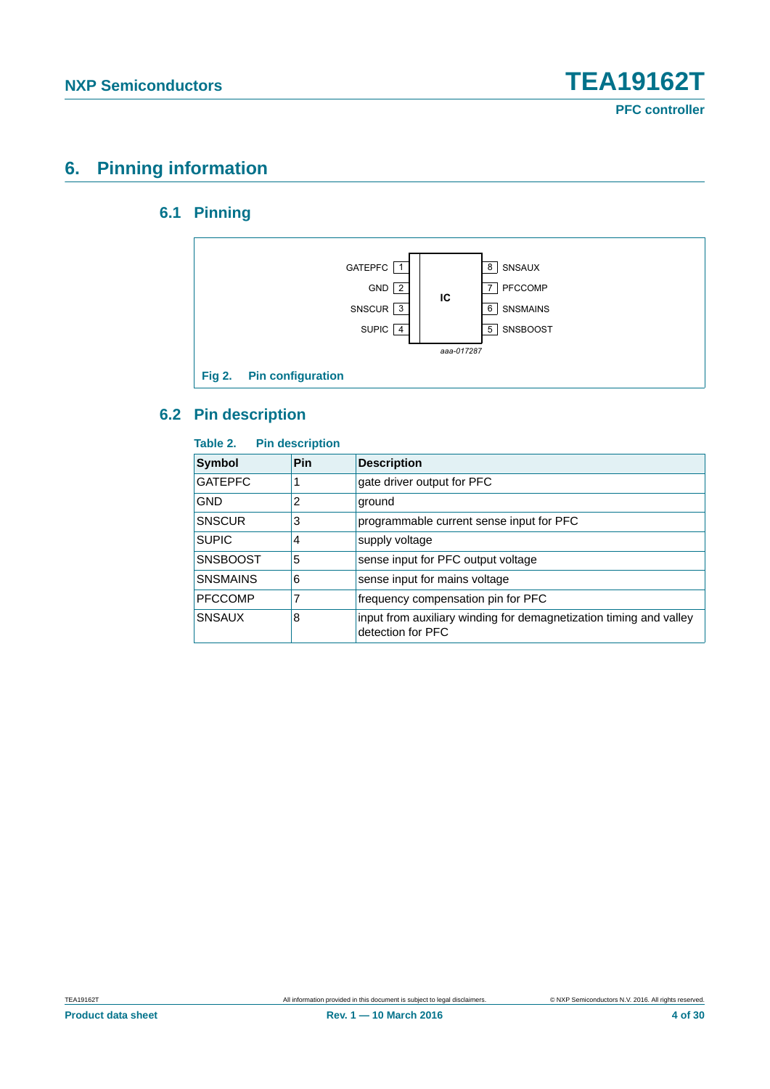## <span id="page-3-1"></span><span id="page-3-0"></span>**6. Pinning information**

### **6.1 Pinning**



### <span id="page-3-2"></span>**6.2 Pin description**

#### **Table 2. Pin description**

| <b>Symbol</b>   | Pin | <b>Description</b>                                                                      |
|-----------------|-----|-----------------------------------------------------------------------------------------|
| <b>GATEPFC</b>  |     | gate driver output for PFC                                                              |
| <b>GND</b>      | 2   | ground                                                                                  |
| <b>SNSCUR</b>   | 3   | programmable current sense input for PFC                                                |
| <b>SUPIC</b>    | 4   | supply voltage                                                                          |
| <b>SNSBOOST</b> | 5   | sense input for PFC output voltage                                                      |
| <b>SNSMAINS</b> | 6   | sense input for mains voltage                                                           |
| <b>PFCCOMP</b>  |     | frequency compensation pin for PFC                                                      |
| <b>SNSAUX</b>   | 8   | input from auxiliary winding for demagnetization timing and valley<br>detection for PFC |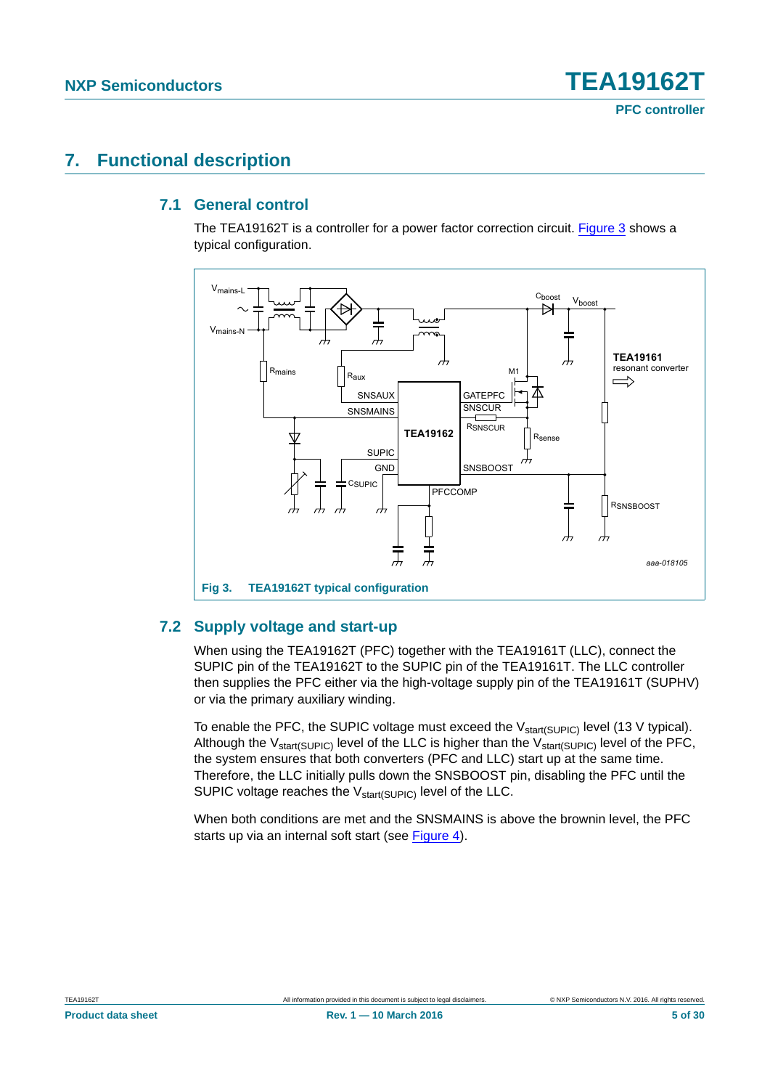## <span id="page-4-3"></span><span id="page-4-2"></span>**7. Functional description**

#### **7.1 General control**

The TEA19162T is a controller for a power factor correction circuit. [Figure 3](#page-4-0) shows a typical configuration.



#### <span id="page-4-1"></span><span id="page-4-0"></span>**7.2 Supply voltage and start-up**

When using the TEA19162T (PFC) together with the TEA19161T (LLC), connect the SUPIC pin of the TEA19162T to the SUPIC pin of the TEA19161T. The LLC controller then supplies the PFC either via the high-voltage supply pin of the TEA19161T (SUPHV) or via the primary auxiliary winding.

To enable the PFC, the SUPIC voltage must exceed the  $V_{start(SUPIC)}$  level (13 V typical). Although the  $V_{\text{start(SUPIC)}}$  level of the LLC is higher than the  $V_{\text{start(SUPIC)}}$  level of the PFC, the system ensures that both converters (PFC and LLC) start up at the same time. Therefore, the LLC initially pulls down the SNSBOOST pin, disabling the PFC until the SUPIC voltage reaches the V<sub>start(SUPIC)</sub> level of the LLC.

When both conditions are met and the SNSMAINS is above the brownin level, the PFC starts up via an internal soft start (see [Figure 4\)](#page-5-0).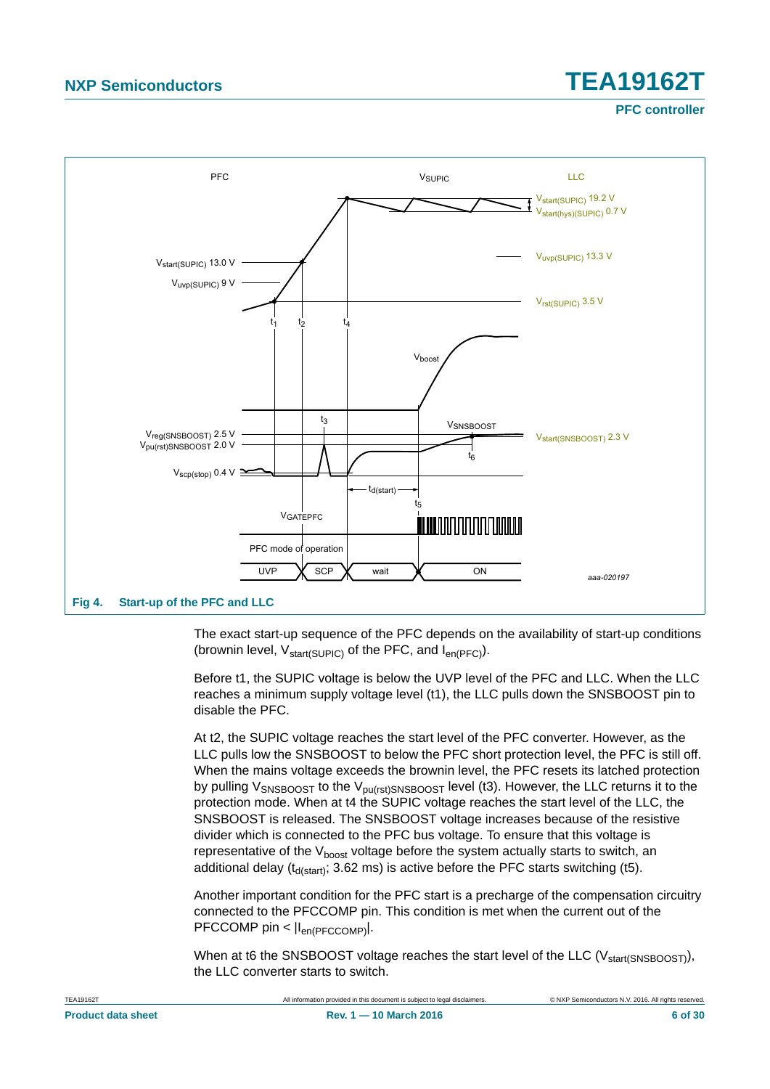**PFC controller**



<span id="page-5-0"></span>The exact start-up sequence of the PFC depends on the availability of start-up conditions (brownin level,  $V_{start(SUP|C)}$  of the PFC, and  $I_{en(PFC)}$ ).

Before t1, the SUPIC voltage is below the UVP level of the PFC and LLC. When the LLC reaches a minimum supply voltage level (t1), the LLC pulls down the SNSBOOST pin to disable the PFC.

At t2, the SUPIC voltage reaches the start level of the PFC converter. However, as the LLC pulls low the SNSBOOST to below the PFC short protection level, the PFC is still off. When the mains voltage exceeds the brownin level, the PFC resets its latched protection by pulling V<sub>SNSBOOST</sub> to the V<sub>pu(rst)SNSBOOST</sub> level (t3). However, the LLC returns it to the protection mode. When at t4 the SUPIC voltage reaches the start level of the LLC, the SNSBOOST is released. The SNSBOOST voltage increases because of the resistive divider which is connected to the PFC bus voltage. To ensure that this voltage is representative of the  $V_{boost}$  voltage before the system actually starts to switch, an additional delay ( $t_{d(stat)}$ ; 3.62 ms) is active before the PFC starts switching (t5).

Another important condition for the PFC start is a precharge of the compensation circuitry connected to the PFCCOMP pin. This condition is met when the current out of the PFCCOMP pin <  $|I_{en(PFCCOMP)}|$ .

When at t6 the SNSBOOST voltage reaches the start level of the LLC ( $V_{\text{start(SNSBOOST)}}$ ), the LLC converter starts to switch.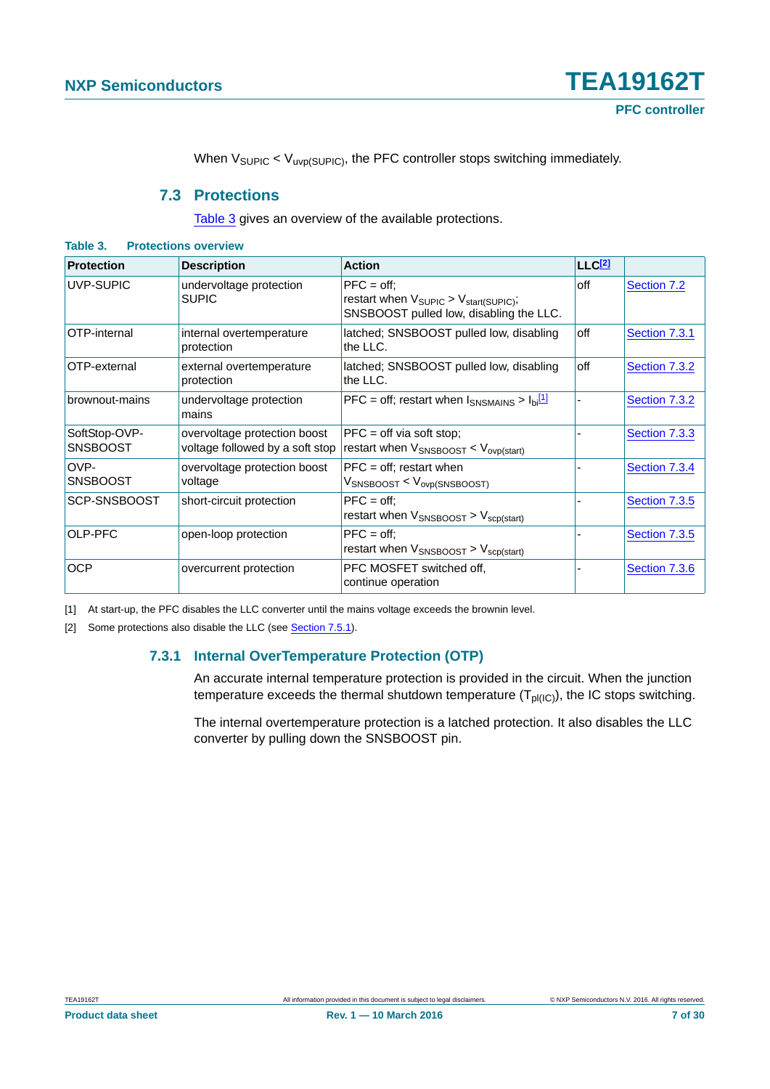When  $V_{\text{SUPIC}} < V_{\text{uvp(SUPIC)}}$ , the PFC controller stops switching immediately.

#### **7.3 Protections**

[Table 3](#page-6-1) gives an overview of the available protections.

| <b>Protection</b>                | <b>Description</b>                                              | <b>Action</b>                                                                                                         | <b>LLC2</b> |               |
|----------------------------------|-----------------------------------------------------------------|-----------------------------------------------------------------------------------------------------------------------|-------------|---------------|
| UVP-SUPIC                        | undervoltage protection<br><b>SUPIC</b>                         | $PFC = off$<br>restart when $V_{\text{SUPIC}} > V_{\text{start(SUPIC)}}$ ;<br>SNSBOOST pulled low, disabling the LLC. | off         | Section 7.2   |
| OTP-internal                     | internal overtemperature<br>protection                          | latched; SNSBOOST pulled low, disabling<br>the LLC.                                                                   | off         | Section 7.3.1 |
| OTP-external                     | external overtemperature<br>protection                          | latched; SNSBOOST pulled low, disabling<br>the LLC.                                                                   | off         | Section 7.3.2 |
| brownout-mains                   | undervoltage protection<br>mains                                | PFC = off; restart when $I_{SNSMAINS} > I_{bi}$ <sup>[1]</sup>                                                        |             | Section 7.3.2 |
| SoftStop-OVP-<br><b>SNSBOOST</b> | overvoltage protection boost<br>voltage followed by a soft stop | $PFC = off via soft stop;$<br>restart when $V_{SNSBOOST} < V_{ovp(start)}$                                            |             | Section 7.3.3 |
| OVP-<br><b>SNSBOOST</b>          | overvoltage protection boost<br>voltage                         | $PFC = off$ ; restart when<br>$V_{\text{SNSBOOST}} < V_{\text{ovp(SNSBOOST)}}$                                        |             | Section 7.3.4 |
| SCP-SNSBOOST                     | short-circuit protection                                        | $PFC = off:$<br>restart when $V_{SNSBOOST} > V_{scp(stat)}$                                                           |             | Section 7.3.5 |
| OLP-PFC                          | open-loop protection                                            | $PFC = off;$<br>restart when $V_{SNSBOOST} > V_{scp(stat)}$                                                           |             | Section 7.3.5 |
| <b>OCP</b>                       | overcurrent protection                                          | PFC MOSFET switched off,<br>continue operation                                                                        |             | Section 7.3.6 |

<span id="page-6-4"></span><span id="page-6-1"></span>**Table 3. Protections overview**

<span id="page-6-2"></span>[1] At start-up, the PFC disables the LLC converter until the mains voltage exceeds the brownin level.

<span id="page-6-3"></span><span id="page-6-0"></span>[2] Some protections also disable the LLC (see [Section 7.5.1\)](#page-15-0).

#### **7.3.1 Internal OverTemperature Protection (OTP)**

An accurate internal temperature protection is provided in the circuit. When the junction temperature exceeds the thermal shutdown temperature  $(T<sub>DI(IC)</sub>)$ , the IC stops switching.

The internal overtemperature protection is a latched protection. It also disables the LLC converter by pulling down the SNSBOOST pin.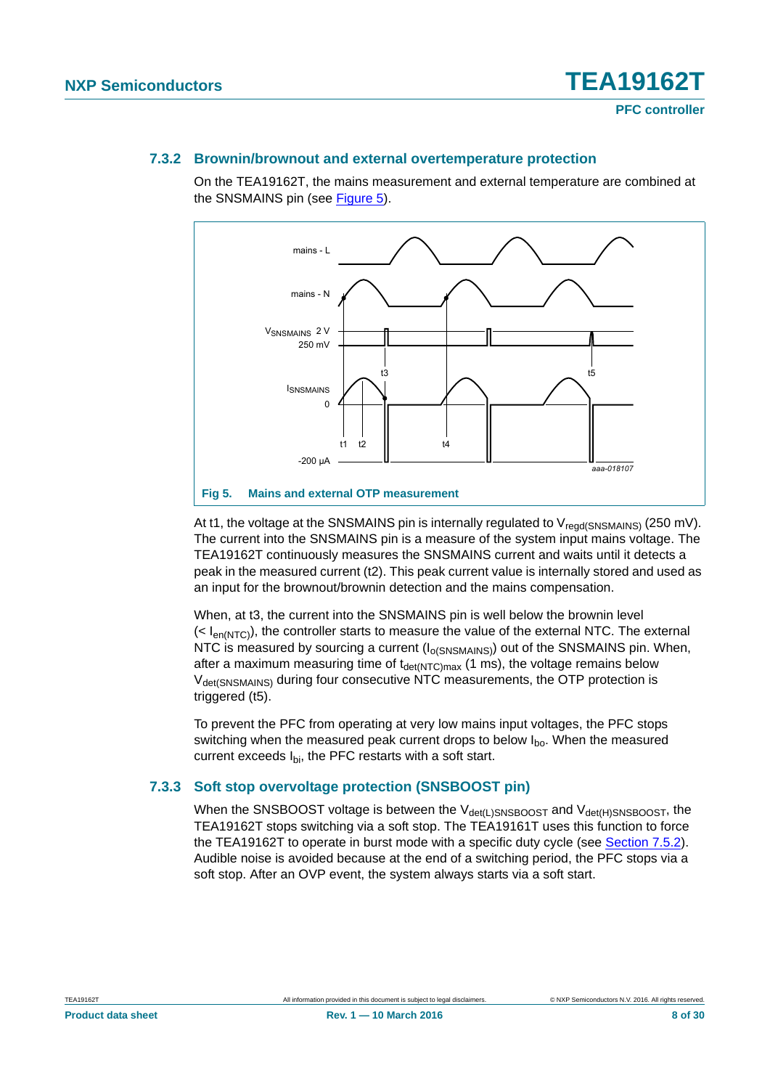#### <span id="page-7-0"></span>**7.3.2 Brownin/brownout and external overtemperature protection**

On the TEA19162T, the mains measurement and external temperature are combined at the SNSMAINS pin (see [Figure 5\)](#page-7-2).



<span id="page-7-2"></span>At t1, the voltage at the SNSMAINS pin is internally regulated to  $V_{\text{regd(SNSMAINS)}}$  (250 mV). The current into the SNSMAINS pin is a measure of the system input mains voltage. The TEA19162T continuously measures the SNSMAINS current and waits until it detects a peak in the measured current (t2). This peak current value is internally stored and used as an input for the brownout/brownin detection and the mains compensation.

When, at t3, the current into the SNSMAINS pin is well below the brownin level  $( $|e_{\text{in/NTC}}|$ ), the controller starts to measure the value of the external NTC. The external$ NTC is measured by sourcing a current  $(I<sub>o(SNSMAINS</sub>)$  out of the SNSMAINS pin. When, after a maximum measuring time of  $t_{\text{det}(NTC)max}$  (1 ms), the voltage remains below V<sub>det(SNSMAINS)</sub> during four consecutive NTC measurements, the OTP protection is triggered (t5).

To prevent the PFC from operating at very low mains input voltages, the PFC stops switching when the measured peak current drops to below  $I_{\text{bo}}$ . When the measured current exceeds  $I_{\text{bi}}$ , the PFC restarts with a soft start.

#### <span id="page-7-1"></span>**7.3.3 Soft stop overvoltage protection (SNSBOOST pin)**

When the SNSBOOST voltage is between the  $V_{\text{det}(L)SNSBOOST}$  and  $V_{\text{det}(H)SNSBOOST}$ , the TEA19162T stops switching via a soft stop. The TEA19161T uses this function to force the TEA19162T to operate in burst mode with a specific duty cycle (see [Section 7.5.2\)](#page-15-1). Audible noise is avoided because at the end of a switching period, the PFC stops via a soft stop. After an OVP event, the system always starts via a soft start.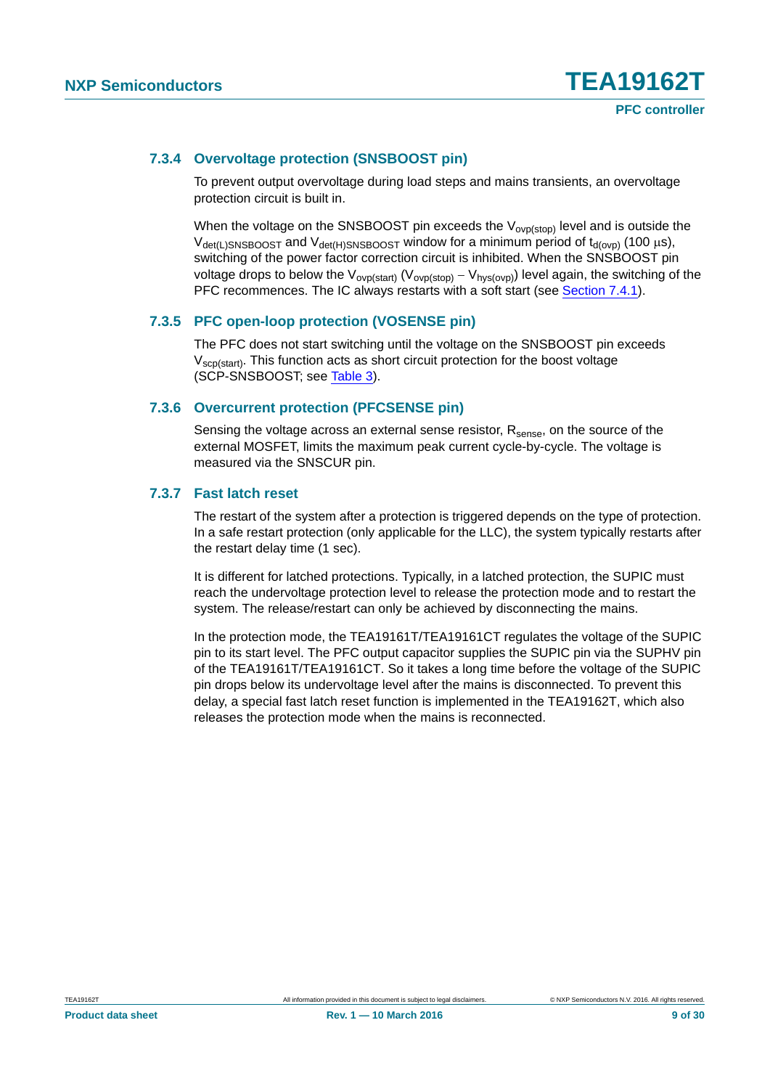#### <span id="page-8-0"></span>**7.3.4 Overvoltage protection (SNSBOOST pin)**

To prevent output overvoltage during load steps and mains transients, an overvoltage protection circuit is built in.

When the voltage on the SNSBOOST pin exceeds the  $V_{ovp(\text{stop})}$  level and is outside the  $V_{\text{det(L)SNSBOOST}}$  and  $V_{\text{det(H)SNSBOOST}}$  window for a minimum period of  $t_{\text{d(ovp)}}$  (100  $\mu$ s), switching of the power factor correction circuit is inhibited. When the SNSBOOST pin voltage drops to below the  $V_{ovp(stat)}(V_{ovp(stop)} - V_{hys(ovp)})$  level again, the switching of the PFC recommences. The IC always restarts with a soft start (see [Section 7.4.1](#page-10-0)).

#### <span id="page-8-1"></span>**7.3.5 PFC open-loop protection (VOSENSE pin)**

The PFC does not start switching until the voltage on the SNSBOOST pin exceeds  $V_{\text{scpl}(start)}$ . This function acts as short circuit protection for the boost voltage (SCP-SNSBOOST; see [Table 3](#page-6-1)).

#### <span id="page-8-2"></span>**7.3.6 Overcurrent protection (PFCSENSE pin)**

Sensing the voltage across an external sense resistor,  $R_{\text{sense}}$ , on the source of the external MOSFET, limits the maximum peak current cycle-by-cycle. The voltage is measured via the SNSCUR pin.

#### <span id="page-8-3"></span>**7.3.7 Fast latch reset**

The restart of the system after a protection is triggered depends on the type of protection. In a safe restart protection (only applicable for the LLC), the system typically restarts after the restart delay time (1 sec).

It is different for latched protections. Typically, in a latched protection, the SUPIC must reach the undervoltage protection level to release the protection mode and to restart the system. The release/restart can only be achieved by disconnecting the mains.

In the protection mode, the TEA19161T/TEA19161CT regulates the voltage of the SUPIC pin to its start level. The PFC output capacitor supplies the SUPIC pin via the SUPHV pin of the TEA19161T/TEA19161CT. So it takes a long time before the voltage of the SUPIC pin drops below its undervoltage level after the mains is disconnected. To prevent this delay, a special fast latch reset function is implemented in the TEA19162T, which also releases the protection mode when the mains is reconnected.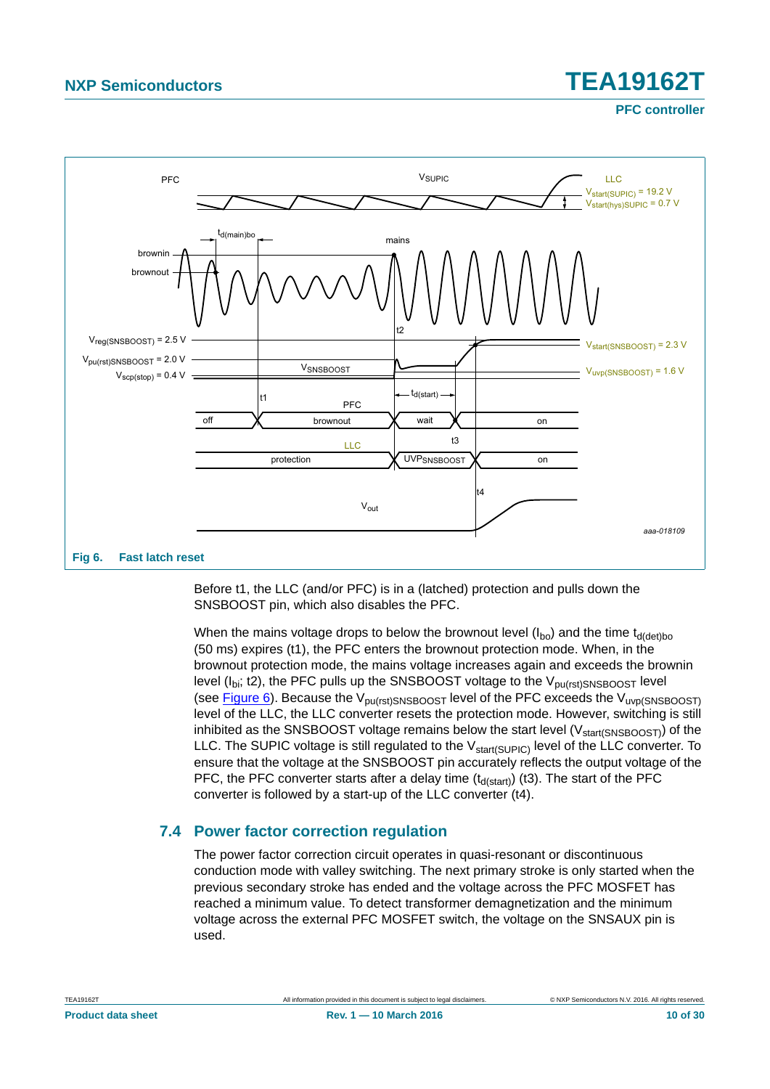**PFC controller**



<span id="page-9-0"></span>Before t1, the LLC (and/or PFC) is in a (latched) protection and pulls down the SNSBOOST pin, which also disables the PFC.

When the mains voltage drops to below the brownout level  $(I_{bo})$  and the time t<sub>d(det)bo</sub> (50 ms) expires (t1), the PFC enters the brownout protection mode. When, in the brownout protection mode, the mains voltage increases again and exceeds the brownin level ( $I<sub>bi</sub>$ ; t2), the PFC pulls up the SNSBOOST voltage to the  $V<sub>pu(rst)SNSBOOST</sub>$  level (see [Figure 6\)](#page-9-0). Because the  $V_{\text{pu(rst)SNSBOOST}}$  level of the PFC exceeds the  $V_{\text{uvp(SNSBOOST)}}$ level of the LLC, the LLC converter resets the protection mode. However, switching is still inhibited as the SNSBOOST voltage remains below the start level  $(V<sub>start(SNSBOOST)</sub>)$  of the LLC. The SUPIC voltage is still regulated to the V<sub>start(SUPIC)</sub> level of the LLC converter. To ensure that the voltage at the SNSBOOST pin accurately reflects the output voltage of the PFC, the PFC converter starts after a delay time  $(t_{\text{d}(\text{start})})$  (t3). The start of the PFC converter is followed by a start-up of the LLC converter (t4).

#### <span id="page-9-1"></span>**7.4 Power factor correction regulation**

The power factor correction circuit operates in quasi-resonant or discontinuous conduction mode with valley switching. The next primary stroke is only started when the previous secondary stroke has ended and the voltage across the PFC MOSFET has reached a minimum value. To detect transformer demagnetization and the minimum voltage across the external PFC MOSFET switch, the voltage on the SNSAUX pin is used.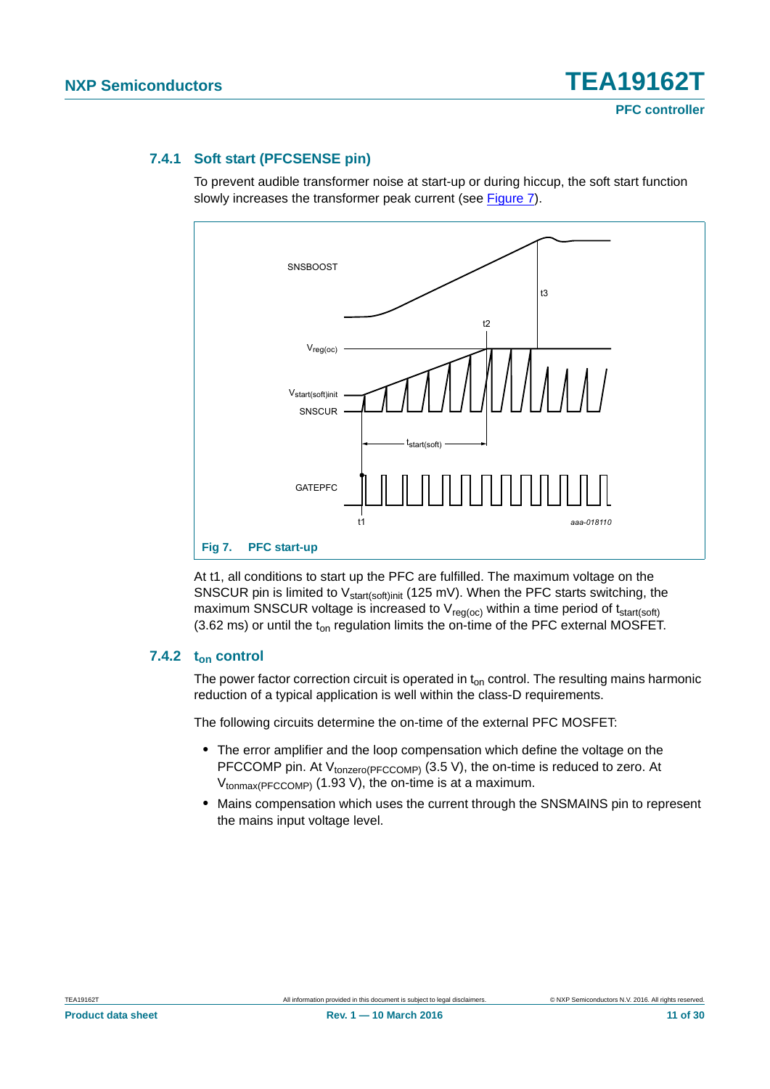#### <span id="page-10-0"></span>**7.4.1 Soft start (PFCSENSE pin)**

To prevent audible transformer noise at start-up or during hiccup, the soft start function slowly increases the transformer peak current (see [Figure 7](#page-10-1)).



<span id="page-10-1"></span>At t1, all conditions to start up the PFC are fulfilled. The maximum voltage on the SNSCUR pin is limited to  $V_{\text{start}(soft)init}$  (125 mV). When the PFC starts switching, the maximum SNSCUR voltage is increased to  $V_{req(oc)}$  within a time period of  $t_{start(soft)}$ (3.62 ms) or until the  $t_{on}$  regulation limits the on-time of the PFC external MOSFET.

#### <span id="page-10-2"></span>7.4.2 t<sub>on</sub> control

The power factor correction circuit is operated in  $t_{on}$  control. The resulting mains harmonic reduction of a typical application is well within the class-D requirements.

The following circuits determine the on-time of the external PFC MOSFET:

- **•** The error amplifier and the loop compensation which define the voltage on the PFCCOMP pin. At  $V_{\text{tonzero(PFCCOMP)}}$  (3.5 V), the on-time is reduced to zero. At  $V_{\text{tonmax(PFCCOMP)}}$  (1.93 V), the on-time is at a maximum.
- **•** Mains compensation which uses the current through the SNSMAINS pin to represent the mains input voltage level.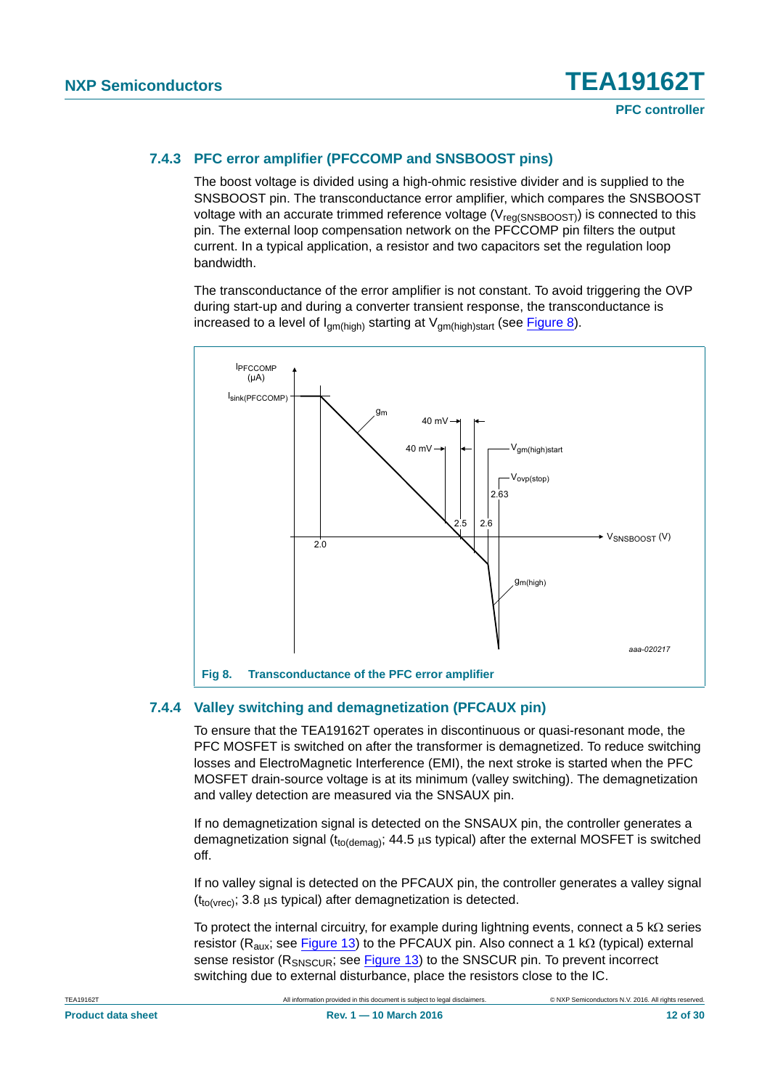#### <span id="page-11-1"></span>**7.4.3 PFC error amplifier (PFCCOMP and SNSBOOST pins)**

The boost voltage is divided using a high-ohmic resistive divider and is supplied to the SNSBOOST pin. The transconductance error amplifier, which compares the SNSBOOST voltage with an accurate trimmed reference voltage  $(V_{\text{req(SNSBOOST)}})$  is connected to this pin. The external loop compensation network on the PFCCOMP pin filters the output current. In a typical application, a resistor and two capacitors set the regulation loop bandwidth.

The transconductance of the error amplifier is not constant. To avoid triggering the OVP during start-up and during a converter transient response, the transconductance is increased to a level of  $I_{gm(high)}$  starting at  $V_{gm(high)start}$  (see [Figure 8](#page-11-0)).



#### <span id="page-11-2"></span>**7.4.4 Valley switching and demagnetization (PFCAUX pin)**

<span id="page-11-0"></span>To ensure that the TEA19162T operates in discontinuous or quasi-resonant mode, the PFC MOSFET is switched on after the transformer is demagnetized. To reduce switching losses and ElectroMagnetic Interference (EMI), the next stroke is started when the PFC MOSFET drain-source voltage is at its minimum (valley switching). The demagnetization and valley detection are measured via the SNSAUX pin.

If no demagnetization signal is detected on the SNSAUX pin, the controller generates a demagnetization signal ( $t_{\text{to(demaa)}}$ ; 44.5  $\mu$ s typical) after the external MOSFET is switched off.

If no valley signal is detected on the PFCAUX pin, the controller generates a valley signal  $(t_{\text{to(vrec)}}; 3.8 \text{ µs typical})$  after demagnetization is detected.

To protect the internal circuitry, for example during lightning events, connect a 5 k $\Omega$  series resistor ( $R_{\text{aux}}$ ; see [Figure 13\)](#page-24-0) to the PFCAUX pin. Also connect a 1 k $\Omega$  (typical) external sense resistor (R<sub>SNSCUR</sub>; see [Figure 13\)](#page-24-0) to the SNSCUR pin. To prevent incorrect switching due to external disturbance, place the resistors close to the IC.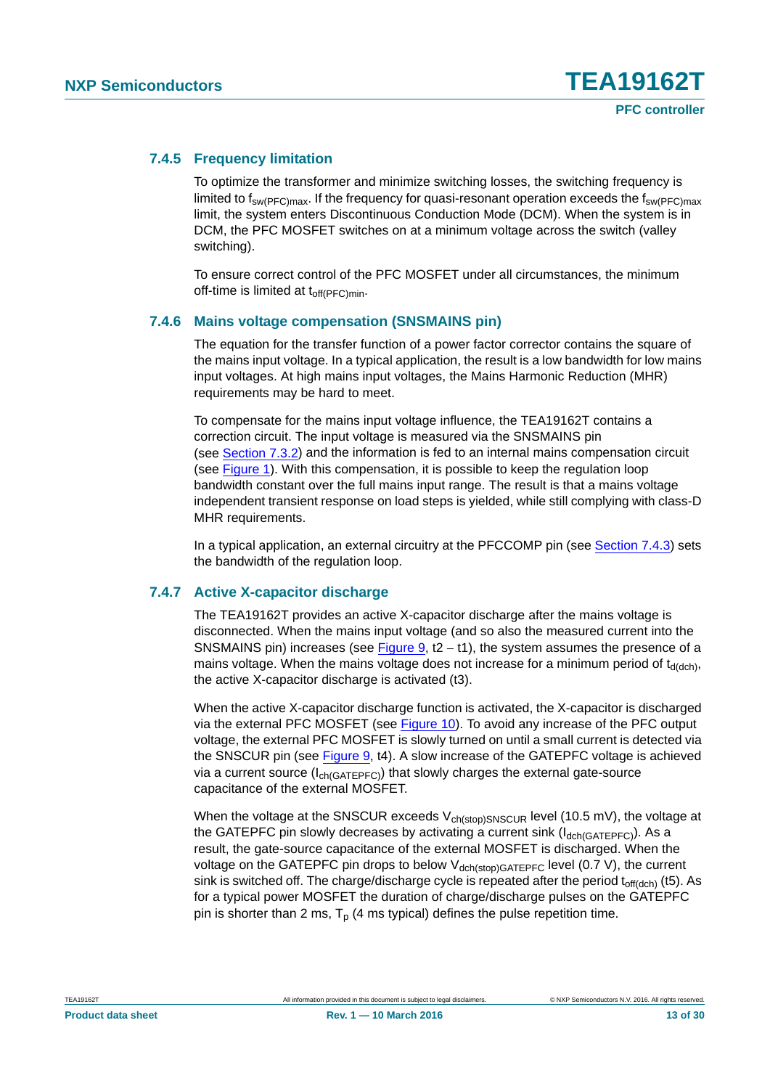#### <span id="page-12-0"></span>**7.4.5 Frequency limitation**

To optimize the transformer and minimize switching losses, the switching frequency is limited to  $f_{sw(PFC)max}$ . If the frequency for quasi-resonant operation exceeds the  $f_{sw(PFC)max}$ limit, the system enters Discontinuous Conduction Mode (DCM). When the system is in DCM, the PFC MOSFET switches on at a minimum voltage across the switch (valley switching).

To ensure correct control of the PFC MOSFET under all circumstances, the minimum off-time is limited at t<sub>off(PFC)min</sub>.

#### <span id="page-12-1"></span>**7.4.6 Mains voltage compensation (SNSMAINS pin)**

The equation for the transfer function of a power factor corrector contains the square of the mains input voltage. In a typical application, the result is a low bandwidth for low mains input voltages. At high mains input voltages, the Mains Harmonic Reduction (MHR) requirements may be hard to meet.

To compensate for the mains input voltage influence, the TEA19162T contains a correction circuit. The input voltage is measured via the SNSMAINS pin (see [Section 7.3.2\)](#page-7-0) and the information is fed to an internal mains compensation circuit (see [Figure 1\)](#page-2-0). With this compensation, it is possible to keep the regulation loop bandwidth constant over the full mains input range. The result is that a mains voltage independent transient response on load steps is yielded, while still complying with class-D MHR requirements.

In a typical application, an external circuitry at the PFCCOMP pin (see [Section 7.4.3](#page-11-1)) sets the bandwidth of the regulation loop.

#### <span id="page-12-2"></span>**7.4.7 Active X-capacitor discharge**

The TEA19162T provides an active X-capacitor discharge after the mains voltage is disconnected. When the mains input voltage (and so also the measured current into the SNSMAINS pin) increases (see [Figure 9,](#page-13-0)  $t2 - t1$ ), the system assumes the presence of a mains voltage. When the mains voltage does not increase for a minimum period of  $t_{d(dch)}$ , the active X-capacitor discharge is activated (t3).

When the active X-capacitor discharge function is activated, the X-capacitor is discharged via the external PFC MOSFET (see [Figure 10](#page-14-0)). To avoid any increase of the PFC output voltage, the external PFC MOSFET is slowly turned on until a small current is detected via the SNSCUR pin (see [Figure 9](#page-13-0), t4). A slow increase of the GATEPFC voltage is achieved via a current source  $(I_{ch(GATEPEC)})$  that slowly charges the external gate-source capacitance of the external MOSFET.

When the voltage at the SNSCUR exceeds  $V_{ch(stop)SNSCUR}$  level (10.5 mV), the voltage at the GATEPFC pin slowly decreases by activating a current sink  $(I_{dch(GATEPFC)})$ . As a result, the gate-source capacitance of the external MOSFET is discharged. When the voltage on the GATEPFC pin drops to below  $V_{\text{dch}(stop)GATEPPC}$  level (0.7 V), the current sink is switched off. The charge/discharge cycle is repeated after the period  $t_{off(dch)}$  (t5). As for a typical power MOSFET the duration of charge/discharge pulses on the GATEPFC pin is shorter than 2 ms,  $T_p$  (4 ms typical) defines the pulse repetition time.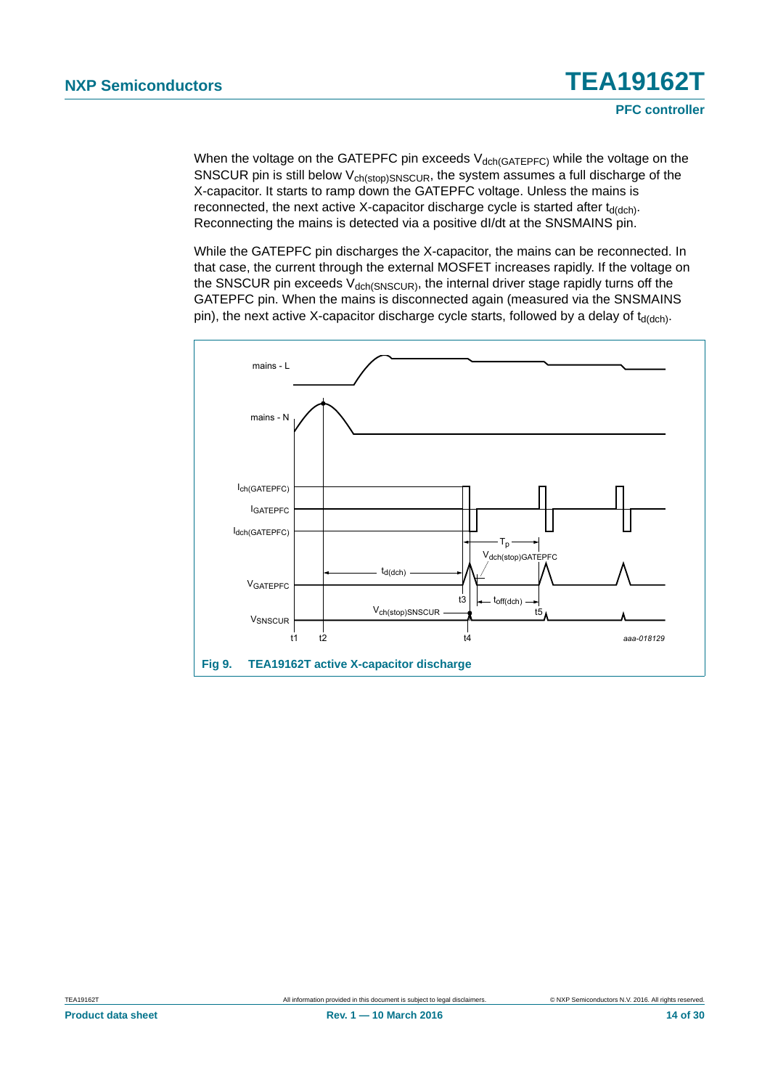When the voltage on the GATEPFC pin exceeds  $V_{dch(GATEPEC)}$  while the voltage on the SNSCUR pin is still below  $V_{ch(stop)SNSCUR}$ , the system assumes a full discharge of the X-capacitor. It starts to ramp down the GATEPFC voltage. Unless the mains is reconnected, the next active X-capacitor discharge cycle is started after  $t_{d(dch)}$ . Reconnecting the mains is detected via a positive dI/dt at the SNSMAINS pin.

While the GATEPFC pin discharges the X-capacitor, the mains can be reconnected. In that case, the current through the external MOSFET increases rapidly. If the voltage on the SNSCUR pin exceeds  $V_{\text{dch(SNSCUR)}}$ , the internal driver stage rapidly turns off the GATEPFC pin. When the mains is disconnected again (measured via the SNSMAINS pin), the next active X-capacitor discharge cycle starts, followed by a delay of  $t_{d(dch)}$ .

<span id="page-13-0"></span>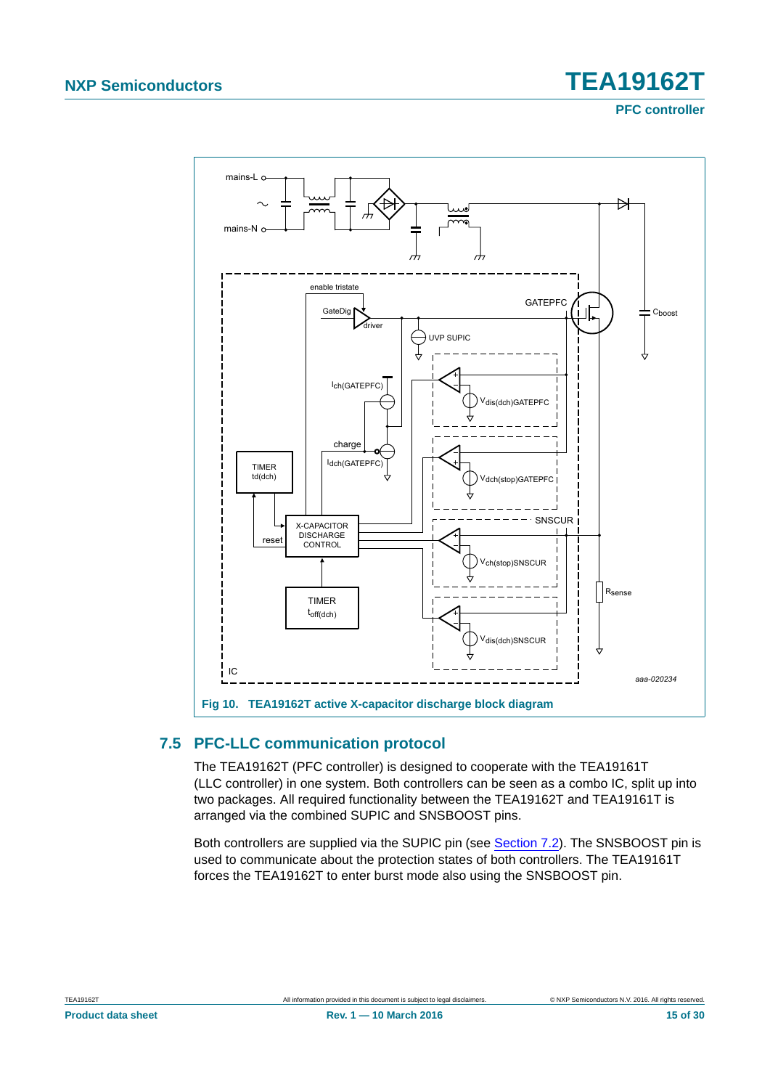**PFC controller**



#### <span id="page-14-1"></span><span id="page-14-0"></span>**7.5 PFC-LLC communication protocol**

The TEA19162T (PFC controller) is designed to cooperate with the TEA19161T (LLC controller) in one system. Both controllers can be seen as a combo IC, split up into two packages. All required functionality between the TEA19162T and TEA19161T is arranged via the combined SUPIC and SNSBOOST pins.

Both controllers are supplied via the SUPIC pin (see [Section 7.2](#page-4-1)). The SNSBOOST pin is used to communicate about the protection states of both controllers. The TEA19161T forces the TEA19162T to enter burst mode also using the SNSBOOST pin.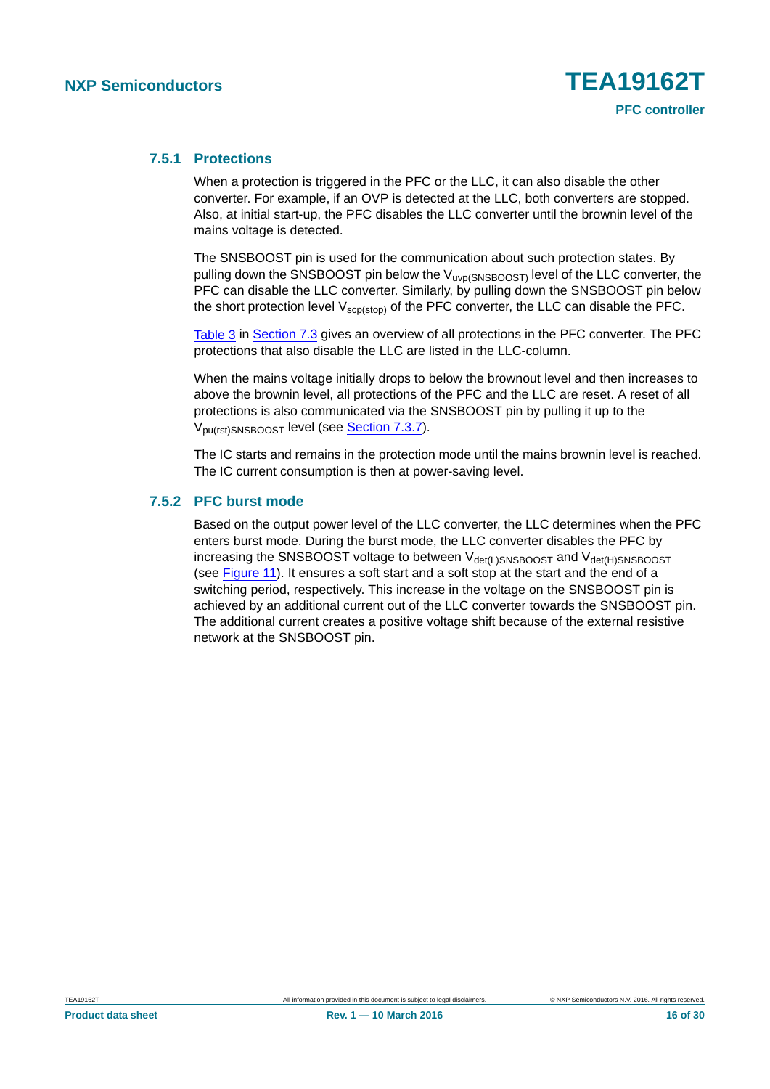#### <span id="page-15-0"></span>**7.5.1 Protections**

When a protection is triggered in the PFC or the LLC, it can also disable the other converter. For example, if an OVP is detected at the LLC, both converters are stopped. Also, at initial start-up, the PFC disables the LLC converter until the brownin level of the mains voltage is detected.

The SNSBOOST pin is used for the communication about such protection states. By pulling down the SNSBOOST pin below the  $V_{\text{uvp(SNSBOOST)}}$  level of the LLC converter, the PFC can disable the LLC converter. Similarly, by pulling down the SNSBOOST pin below the short protection level  $V_{\text{scp}(ston)}$  of the PFC converter, the LLC can disable the PFC.

[Table 3](#page-6-1) in [Section 7.3](#page-6-4) gives an overview of all protections in the PFC converter. The PFC protections that also disable the LLC are listed in the LLC-column.

When the mains voltage initially drops to below the brownout level and then increases to above the brownin level, all protections of the PFC and the LLC are reset. A reset of all protections is also communicated via the SNSBOOST pin by pulling it up to the Vpu(rst)SNSBOOST level (see [Section 7.3.7\)](#page-8-3).

The IC starts and remains in the protection mode until the mains brownin level is reached. The IC current consumption is then at power-saving level.

#### <span id="page-15-1"></span>**7.5.2 PFC burst mode**

Based on the output power level of the LLC converter, the LLC determines when the PFC enters burst mode. During the burst mode, the LLC converter disables the PFC by increasing the SNSBOOST voltage to between  $V_{\text{det}(L)SNSBOOST}$  and  $V_{\text{det}(H)SNSBOOST}$ (see [Figure 11\)](#page-16-0). It ensures a soft start and a soft stop at the start and the end of a switching period, respectively. This increase in the voltage on the SNSBOOST pin is achieved by an additional current out of the LLC converter towards the SNSBOOST pin. The additional current creates a positive voltage shift because of the external resistive network at the SNSBOOST pin.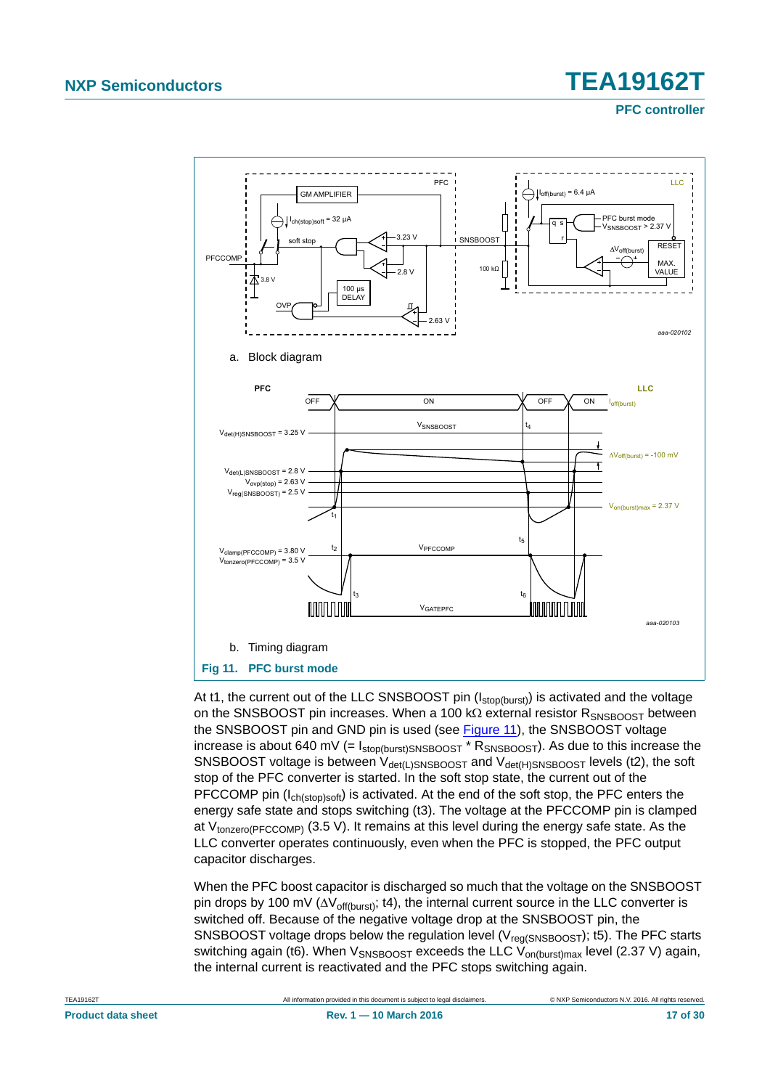**PFC controller**



<span id="page-16-0"></span>At t1, the current out of the LLC SNSBOOST pin  $(I_{stop(burst)})$  is activated and the voltage on the SNSBOOST pin increases. When a 100 k $\Omega$  external resistor  $R_{SNSBOOST}$  between the SNSBOOST pin and GND pin is used (see [Figure 11\)](#page-16-0), the SNSBOOST voltage increase is about 640 mV (=  $I_{stop(burst)SNSBOOST} * R_{SNSBOOST}$ ). As due to this increase the SNSBOOST voltage is between  $V_{\text{det}(L)$ SNSBOOST and  $V_{\text{det}(H)$ SNSBOOST levels (t2), the soft stop of the PFC converter is started. In the soft stop state, the current out of the PFCCOMP pin  $(I_{\text{ch}(stop)soft})$  is activated. At the end of the soft stop, the PFC enters the energy safe state and stops switching (t3). The voltage at the PFCCOMP pin is clamped at  $V_{\text{tonzero(PFCCOMP)}}$  (3.5 V). It remains at this level during the energy safe state. As the LLC converter operates continuously, even when the PFC is stopped, the PFC output capacitor discharges.

When the PFC boost capacitor is discharged so much that the voltage on the SNSBOOST pin drops by 100 mV ( $\Delta V$ <sub>off(burst</sub>); t4), the internal current source in the LLC converter is switched off. Because of the negative voltage drop at the SNSBOOST pin, the SNSBOOST voltage drops below the regulation level ( $V_{\text{req(SNSBOOST)}}$ ); t5). The PFC starts switching again (t6). When  $V_{SNSBOOST}$  exceeds the LLC  $V_{on(burst)max}$  level (2.37 V) again, the internal current is reactivated and the PFC stops switching again.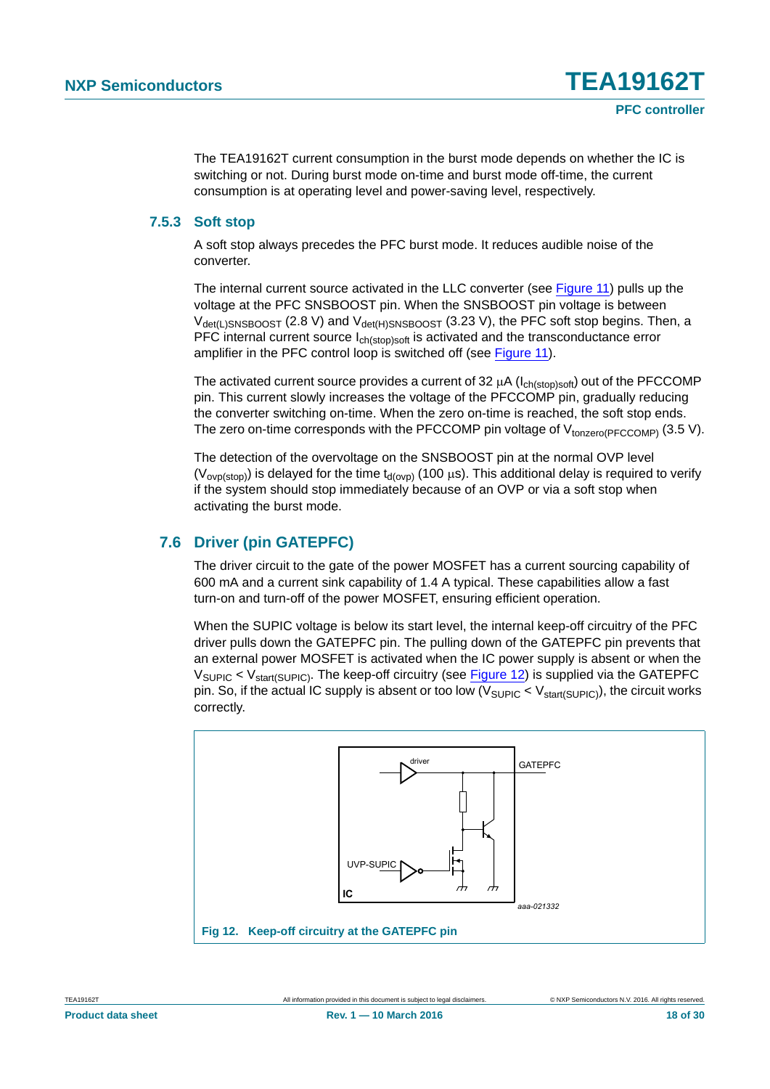The TEA19162T current consumption in the burst mode depends on whether the IC is switching or not. During burst mode on-time and burst mode off-time, the current consumption is at operating level and power-saving level, respectively.

#### <span id="page-17-1"></span>**7.5.3 Soft stop**

A soft stop always precedes the PFC burst mode. It reduces audible noise of the converter.

The internal current source activated in the LLC converter (see [Figure 11\)](#page-16-0) pulls up the voltage at the PFC SNSBOOST pin. When the SNSBOOST pin voltage is between  $V_{\text{det(L)SNSBOOST}}$  (2.8 V) and  $V_{\text{det(H)SNSBOOST}}$  (3.23 V), the PFC soft stop begins. Then, a PFC internal current source I<sub>ch(stop)soft</sub> is activated and the transconductance error amplifier in the PFC control loop is switched off (see [Figure 11](#page-16-0)).

The activated current source provides a current of 32  $\mu$ A ( $I_{ch(stop)soft}$ ) out of the PFCCOMP pin. This current slowly increases the voltage of the PFCCOMP pin, gradually reducing the converter switching on-time. When the zero on-time is reached, the soft stop ends. The zero on-time corresponds with the PFCCOMP pin voltage of  $V_{\text{tonzero(PFCCOMP)}}$  (3.5 V).

The detection of the overvoltage on the SNSBOOST pin at the normal OVP level  $(V_{\text{ovp}(stop)})$  is delayed for the time  $t_{\text{d}(ovp)}$  (100  $\mu$ s). This additional delay is required to verify if the system should stop immediately because of an OVP or via a soft stop when activating the burst mode.

### <span id="page-17-2"></span>**7.6 Driver (pin GATEPFC)**

The driver circuit to the gate of the power MOSFET has a current sourcing capability of 600 mA and a current sink capability of 1.4 A typical. These capabilities allow a fast turn-on and turn-off of the power MOSFET, ensuring efficient operation.

When the SUPIC voltage is below its start level, the internal keep-off circuitry of the PFC driver pulls down the GATEPFC pin. The pulling down of the GATEPFC pin prevents that an external power MOSFET is activated when the IC power supply is absent or when the  $V_{\text{SUPIC}} < V_{\text{start(SUPIC)}}$ . The keep-off circuitry (see [Figure 12\)](#page-17-0) is supplied via the GATEPFC pin. So, if the actual IC supply is absent or too low  $(V_{\text{SUPIC}} < V_{\text{start(SUPIC)}})$ , the circuit works correctly.

<span id="page-17-0"></span>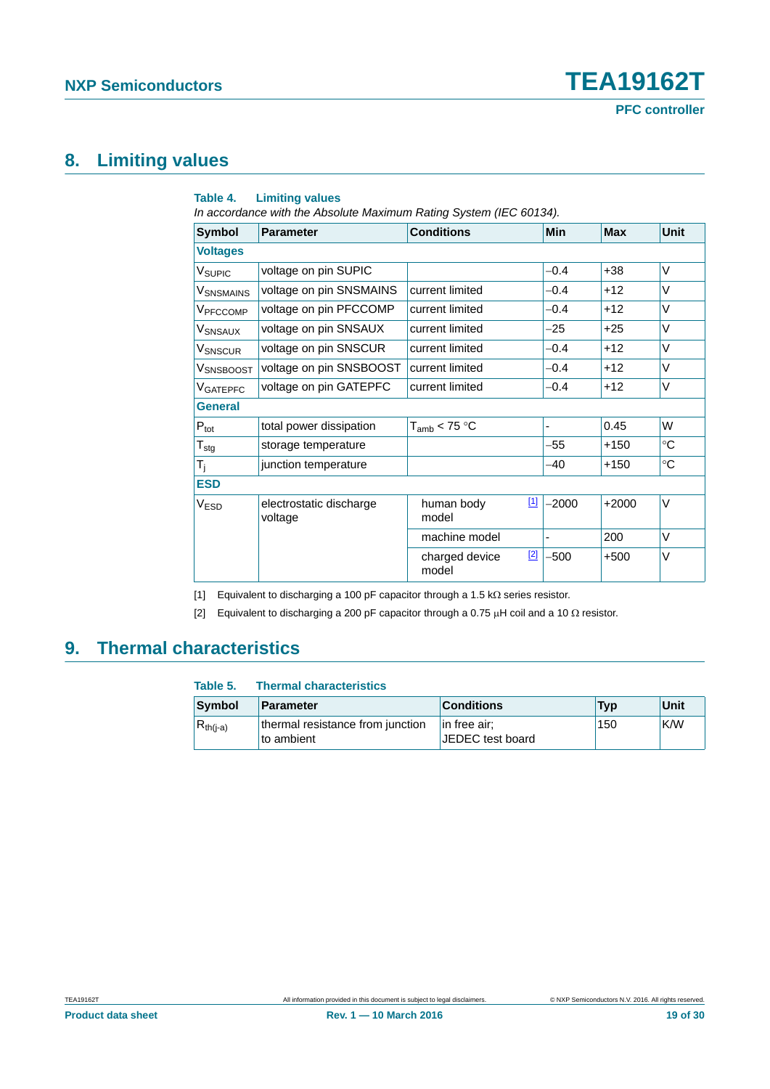## <span id="page-18-2"></span>**8. Limiting values**

#### **Table 4. Limiting values**

*In accordance with the Absolute Maximum Rating System (IEC 60134).*

| <b>Symbol</b>        | <b>Parameter</b>                   | <b>Conditions</b>       |       | Min     | <b>Max</b> | Unit        |
|----------------------|------------------------------------|-------------------------|-------|---------|------------|-------------|
| <b>Voltages</b>      |                                    |                         |       |         |            |             |
| V <sub>SUPIC</sub>   | voltage on pin SUPIC               |                         |       | $-0.4$  | +38        | V           |
| VSNSMAINS            | voltage on pin SNSMAINS            | current limited         |       | $-0.4$  | $+12$      | V           |
| V <sub>PFCCOMP</sub> | voltage on pin PFCCOMP             | current limited         |       | $-0.4$  | $+12$      | V           |
| VSNSAUX              | voltage on pin SNSAUX              | current limited         |       | $-25$   | $+25$      | V           |
| <b>V</b> SNSCUR      | voltage on pin SNSCUR              | current limited         |       | $-0.4$  | $+12$      | V           |
| VSNSBOOST            | voltage on pin SNSBOOST            | current limited         |       | $-0.4$  | $+12$      | V           |
| VGATEPFC             | voltage on pin GATEPFC             | current limited         |       | $-0.4$  | $+12$      | V           |
| <b>General</b>       |                                    |                         |       |         |            |             |
| $P_{\text{tot}}$     | total power dissipation            | $T_{amb}$ < 75 °C       |       |         | 0.45       | W           |
| $T_{\text{stg}}$     | storage temperature                |                         |       | $-55$   | +150       | °C          |
| T <sub>j</sub>       | junction temperature               |                         |       | -40     | $+150$     | $^{\circ}C$ |
| <b>ESD</b>           |                                    |                         |       |         |            |             |
| <b>VESD</b>          | electrostatic discharge<br>voltage | human body<br>model     | $[1]$ | $-2000$ | $+2000$    | V           |
|                      |                                    | machine model           |       |         | 200        | V           |
|                      |                                    | charged device<br>model | $[2]$ | $-500$  | $+500$     | V           |

<span id="page-18-0"></span>[1] Equivalent to discharging a 100 pF capacitor through a 1.5 k $\Omega$  series resistor.

<span id="page-18-1"></span>[2] Equivalent to discharging a 200 pF capacitor through a 0.75  $\mu$ H coil and a 10  $\Omega$  resistor.

## <span id="page-18-3"></span>**9. Thermal characteristics**

| Table 5.      | <b>Thermal characteristics</b>                 |                                     |            |      |
|---------------|------------------------------------------------|-------------------------------------|------------|------|
| Symbol        | <b>Parameter</b>                               | <b>Conditions</b>                   | <b>Typ</b> | Unit |
| $R_{th(i-a)}$ | thermal resistance from junction<br>to ambient | $\ln$ free air;<br>JEDEC test board | 150        | K/W  |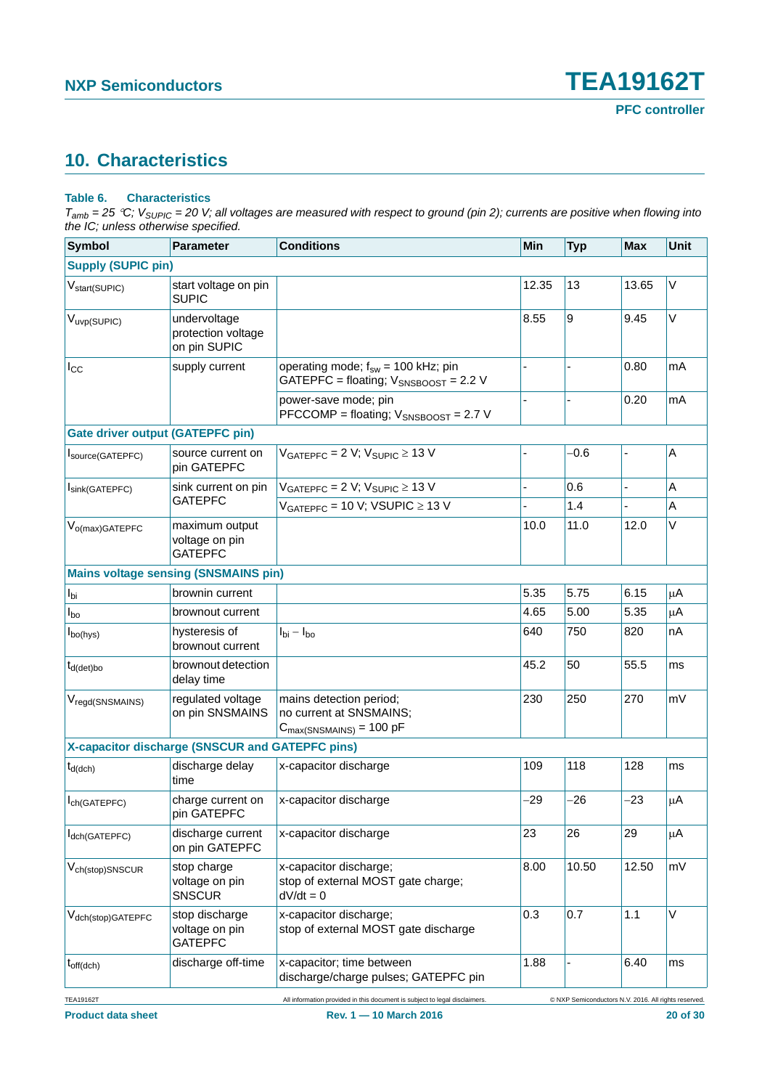## <span id="page-19-0"></span>**10. Characteristics**

#### **Table 6. Characteristics**

| <b>Symbol</b>                           | <b>Parameter</b>                                   | <b>Conditions</b>                                                                            | <b>Min</b> | <b>Typ</b>                                           | <b>Max</b> | <b>Unit</b> |
|-----------------------------------------|----------------------------------------------------|----------------------------------------------------------------------------------------------|------------|------------------------------------------------------|------------|-------------|
| <b>Supply (SUPIC pin)</b>               |                                                    |                                                                                              |            |                                                      |            |             |
| V <sub>start</sub> (SUPIC)              | start voltage on pin<br><b>SUPIC</b>               |                                                                                              | 12.35      | 13                                                   | 13.65      | V           |
| V <sub>uvp</sub> (SUPIC)                | undervoltage<br>protection voltage<br>on pin SUPIC |                                                                                              | 8.55       | 9                                                    | 9.45       | V           |
| $I_{\rm CC}$                            | supply current                                     | operating mode; $f_{sw}$ = 100 kHz; pin<br>GATEPFC = floating; V <sub>SNSBOOST</sub> = 2.2 V |            |                                                      | 0.80       | mA          |
|                                         |                                                    | power-save mode; pin<br>PFCCOMP = floating; V <sub>SNSBOOST</sub> = 2.7 V                    |            |                                                      | 0.20       | mA          |
| <b>Gate driver output (GATEPFC pin)</b> |                                                    |                                                                                              |            |                                                      |            |             |
| Source(GATEPFC)                         | source current on<br>pin GATEPFC                   | $VGATEPFC = 2 V; VSUPIC \ge 13 V$                                                            |            | $-0.6$                                               | ÷,         | $\mathsf A$ |
| Isink(GATEPFC)                          | sink current on pin                                | $V_{GATEPFC}$ = 2 V; $V_{SUPIC}$ $\geq$ 13 V                                                 |            | 0.6                                                  |            | Α           |
|                                         | <b>GATEPFC</b>                                     | $V_{GATFPEC}$ = 10 V; VSUPIC $\geq$ 13 V                                                     |            | 1.4                                                  | ä,         | Α           |
| $V_{o(max)GATEPFC}$                     | maximum output<br>voltage on pin<br><b>GATEPFC</b> |                                                                                              | 10.0       | 11.0                                                 | 12.0       | V           |
|                                         | <b>Mains voltage sensing (SNSMAINS pin)</b>        |                                                                                              |            |                                                      |            |             |
| $I_{\text{bi}}$                         | brownin current                                    |                                                                                              | 5.35       | 5.75                                                 | 6.15       | μA          |
| $I_{\text{bo}}$                         | brownout current                                   |                                                                                              | 4.65       | 5.00                                                 | 5.35       | μA          |
| $I_{\text{bo(hys)}}$                    | hysteresis of<br>brownout current                  | $I_{\text{bi}} - I_{\text{bo}}$                                                              | 640        | 750                                                  | 820        | nA          |
| $t_{d(det)bo}$                          | brownout detection<br>delay time                   |                                                                                              | 45.2       | 50                                                   | 55.5       | ms          |
| V <sub>regd</sub> (SNSMAINS)            | regulated voltage<br>on pin SNSMAINS               | mains detection period;<br>no current at SNSMAINS;<br>$C_{\text{max(SNSMAINS)}} = 100$ pF    | 230        | 250                                                  | 270        | mV          |
|                                         | X-capacitor discharge (SNSCUR and GATEPFC pins)    |                                                                                              |            |                                                      |            |             |
| $t_{d(dch)}$                            | discharge delay<br>time                            | x-capacitor discharge                                                                        | 109        | 118                                                  | 128        | ms          |
| I <sub>ch</sub> (GATEPFC)               | charge current on<br>pin GATEPFC                   | x-capacitor discharge                                                                        | $-29$      | -26                                                  | $-23$      | μA          |
| dch(GATEPFC)                            | discharge current<br>on pin GATEPFC                | x-capacitor discharge                                                                        | 23         | 26                                                   | 29         | μA          |
| V <sub>ch(stop)</sub> SNSCUR            | stop charge<br>voltage on pin<br><b>SNSCUR</b>     | x-capacitor discharge;<br>stop of external MOST gate charge;<br>$dV/dt = 0$                  | 8.00       | 10.50                                                | 12.50      | mV          |
| V <sub>dch(stop)</sub> GATEPFC          | stop discharge<br>voltage on pin<br><b>GATEPFC</b> | x-capacitor discharge;<br>stop of external MOST gate discharge                               | 0.3        | 0.7                                                  | 1.1        | V           |
| $t_{off(dch)}$                          | discharge off-time                                 | x-capacitor; time between<br>discharge/charge pulses; GATEPFC pin                            | 1.88       |                                                      | 6.40       | ms          |
| <b>TEA19162T</b>                        |                                                    | All information provided in this document is subject to legal disclaimers.                   |            | © NXP Semiconductors N.V. 2016. All rights reserved. |            |             |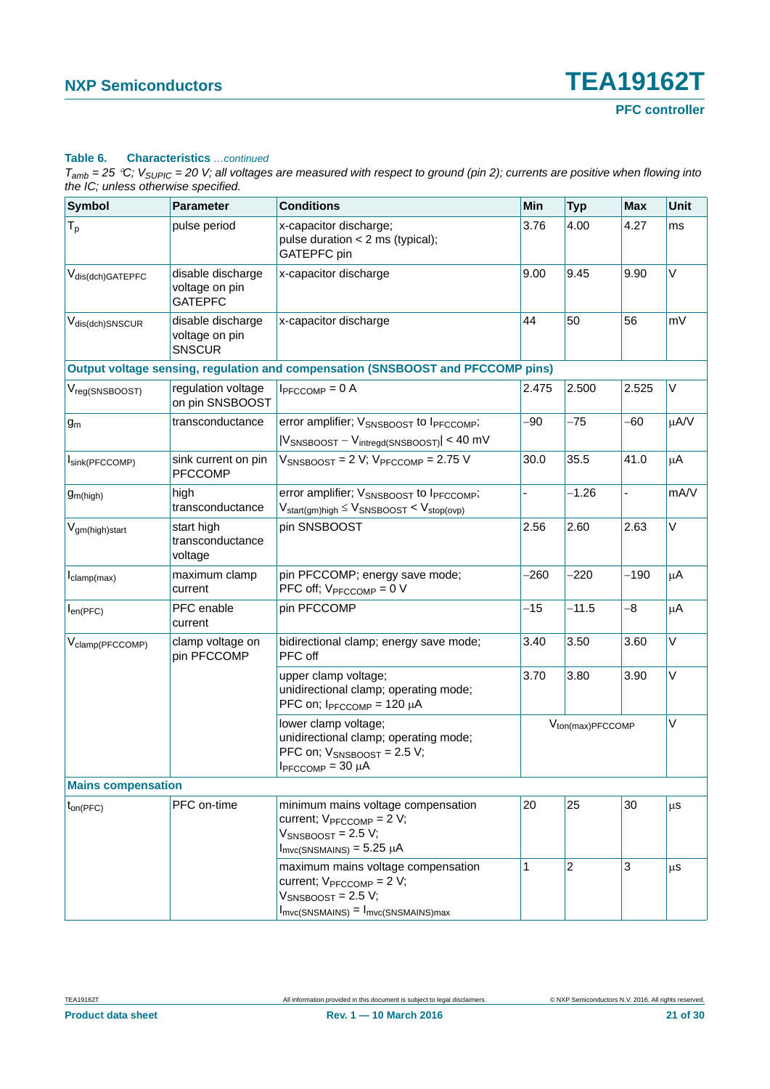#### **Table 6. Characteristics** *…continued*

| <b>Symbol</b>                 | <b>Parameter</b>                                      | <b>Conditions</b>                                                                                                                                                                       | Min                          | <b>Typ</b>     | <b>Max</b> | Unit    |
|-------------------------------|-------------------------------------------------------|-----------------------------------------------------------------------------------------------------------------------------------------------------------------------------------------|------------------------------|----------------|------------|---------|
| $T_{p}$                       | pulse period                                          | x-capacitor discharge;<br>pulse duration $<$ 2 ms (typical);<br><b>GATEPFC</b> pin                                                                                                      | 3.76                         | 4.00           | 4.27       | ms      |
| V <sub>dis(dch)</sub> GATEPFC | disable discharge<br>voltage on pin<br><b>GATEPFC</b> | x-capacitor discharge                                                                                                                                                                   | 9.00                         | 9.45           | 9.90       | V       |
| V <sub>dis(dch)</sub> SNSCUR  | disable discharge<br>voltage on pin<br><b>SNSCUR</b>  | x-capacitor discharge                                                                                                                                                                   | 44                           | 50             | 56         | mV      |
|                               |                                                       | Output voltage sensing, regulation and compensation (SNSBOOST and PFCCOMP pins)                                                                                                         |                              |                |            |         |
| V <sub>reg(SNSBOOST)</sub>    | regulation voltage<br>on pin SNSBOOST                 | $I_{\text{PFCCOMP}} = 0$ A                                                                                                                                                              | 2.475                        | 2.500          | 2.525      | V       |
| $g_m$                         | transconductance                                      | error amplifier; VSNSBOOST to IPFCCOMP;<br>$ V_{\text{SNSBOOST}} - V_{\text{intregd(SNSBOOST)}}  < 40 \text{ mV}$                                                                       | -90                          | $-75$          | -60        | μA/V    |
| Isink(PFCCOMP)                | sink current on pin<br><b>PFCCOMP</b>                 | $V_{SNSBOOST}$ = 2 V; $V_{PFCCOMP}$ = 2.75 V                                                                                                                                            | 30.0                         | 35.5           | 41.0       | $\mu$ A |
| g <sub>m</sub> (high)         | high<br>transconductance                              | error amplifier; V <sub>SNSBOOST</sub> to I <sub>PFCCOMP</sub> ;<br>$V_{start(gm)high} \leq V_{SNSBOOST} < V_{stop(ovp)}$                                                               |                              | $-1.26$        |            | mA/V    |
| Vgm(high)start                | start high<br>transconductance<br>voltage             | pin SNSBOOST                                                                                                                                                                            | 2.56                         | 2.60           | 2.63       | V       |
| $I_{clamp(max)}$              | maximum clamp<br>current                              | pin PFCCOMP; energy save mode;<br>PFC off; $V_{PFCCOMP} = 0 V$                                                                                                                          | $-260$                       | $-220$         | $-190$     | $\mu$ A |
| $I_{en(PFC)}$                 | PFC enable<br>current                                 | pin PFCCOMP                                                                                                                                                                             | $-15$                        | $-11.5$        | -8         | μA      |
| V <sub>clamp</sub> (PFCCOMP)  | clamp voltage on<br>pin PFCCOMP                       | bidirectional clamp; energy save mode;<br>PFC off                                                                                                                                       | 3.40                         | 3.50           | 3.60       | V       |
|                               |                                                       | upper clamp voltage;<br>unidirectional clamp; operating mode;<br>PFC on; $I_{PFCCOMP}$ = 120 µA                                                                                         | 3.70                         | 3.80           | 3.90       | $\vee$  |
|                               |                                                       | lower clamp voltage;<br>unidirectional clamp; operating mode;<br>PFC on; $V_{SNSBOOST} = 2.5 V$ ;<br>$I_{\text{PFCCOMP}} = 30 \mu A$                                                    | V <sub>ton(max)PFCCOMP</sub> |                |            | V       |
| <b>Mains compensation</b>     |                                                       |                                                                                                                                                                                         |                              |                |            |         |
| $t_{on(PFC)}$                 | PFC on-time                                           | minimum mains voltage compensation<br>current; V <sub>PFCCOMP</sub> = 2 V;<br>$V_{SNSBOOST} = 2.5 V;$<br>$I_{\text{mvc}(\text{SNSMAINS})} = 5.25 \mu\text{A}$                           | 20                           | 25             | 30         | μS      |
|                               |                                                       | maximum mains voltage compensation<br>current; $V_{\text{PFCCOMP}} = 2 V$ ;<br>$V_{SNSBOOST} = 2.5 V;$<br>$I_{\text{mvc}(\text{SNSMAINS})} = I_{\text{mvc}(\text{SNSMAINS})\text{max}}$ | $\mathbf{1}$                 | $\overline{c}$ | 3          | μS      |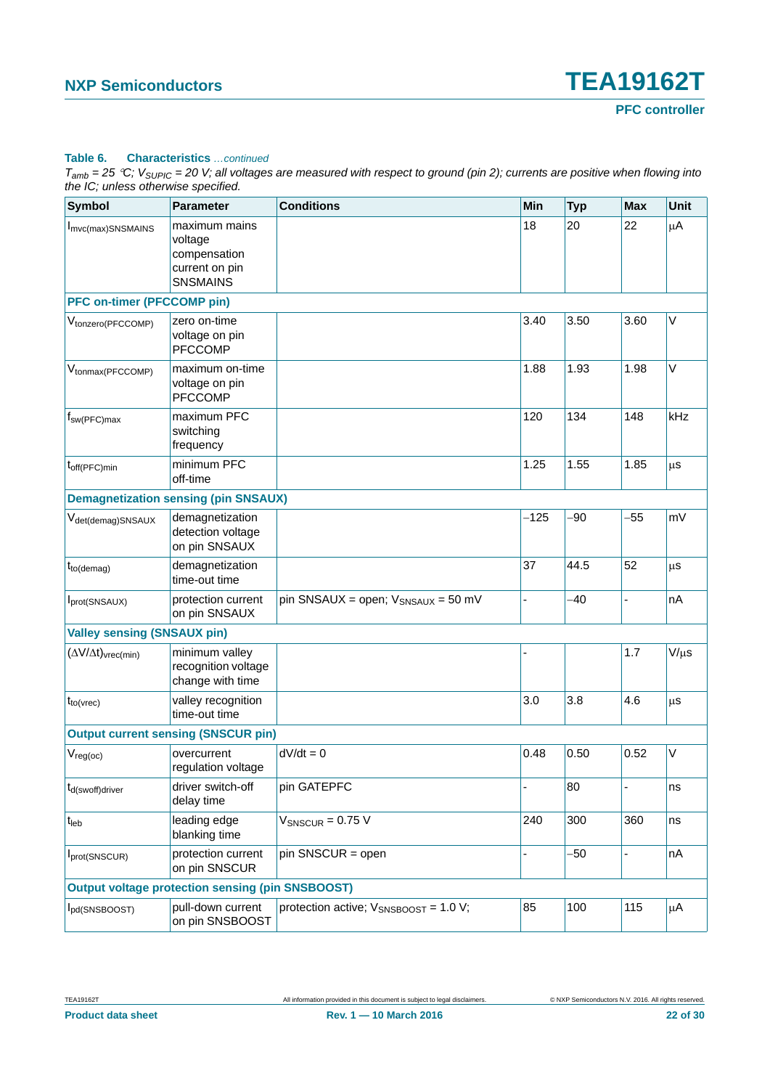#### **Table 6. Characteristics** *…continued*

| <b>Symbol</b>                                   | <b>Parameter</b>                                                              | <b>Conditions</b>                          | Min    | <b>Typ</b> | <b>Max</b> | Unit      |
|-------------------------------------------------|-------------------------------------------------------------------------------|--------------------------------------------|--------|------------|------------|-----------|
| I <sub>mvc(max)</sub> SNSMAINS                  | maximum mains<br>voltage<br>compensation<br>current on pin<br><b>SNSMAINS</b> |                                            | 18     | 20         | 22         | μA        |
| <b>PFC on-timer (PFCCOMP pin)</b>               |                                                                               |                                            |        |            |            |           |
| V <sub>tonzero</sub> (PFCCOMP)                  | zero on-time<br>voltage on pin<br><b>PFCCOMP</b>                              |                                            | 3.40   | 3.50       | 3.60       | $\vee$    |
| V <sub>tonmax</sub> (PFCCOMP)                   | maximum on-time<br>voltage on pin<br><b>PFCCOMP</b>                           |                                            | 1.88   | 1.93       | 1.98       | $\vee$    |
| $f_{sw(PFC)max}$                                | maximum PFC<br>switching<br>frequency                                         |                                            | 120    | 134        | 148        | kHz       |
| $t_{off(PFC)}$ min                              | minimum PFC<br>off-time                                                       |                                            | 1.25   | 1.55       | 1.85       | μS        |
|                                                 | <b>Demagnetization sensing (pin SNSAUX)</b>                                   |                                            |        |            |            |           |
| V <sub>det(demag)</sub> SNSAUX                  | demagnetization<br>detection voltage<br>on pin SNSAUX                         |                                            | $-125$ | $-90$      | $-55$      | mV        |
| $t_{to(demag)}$                                 | demagnetization<br>time-out time                                              |                                            | 37     | 44.5       | 52         | μS        |
| Iprot(SNSAUX)                                   | protection current<br>on pin SNSAUX                                           | pin SNSAUX = open; $V_{SNSAUX}$ = 50 mV    | ä,     | -40        | ä,         | nA        |
| <b>Valley sensing (SNSAUX pin)</b>              |                                                                               |                                            |        |            |            |           |
| $(\Delta V/\Delta t)_{\text{vrec}(\text{min})}$ | minimum valley<br>recognition voltage<br>change with time                     |                                            |        |            | 1.7        | $V/\mu s$ |
| $t_{to(vrec)}$                                  | valley recognition<br>time-out time                                           |                                            | 3.0    | 3.8        | 4.6        | $\mu$ s   |
|                                                 | <b>Output current sensing (SNSCUR pin)</b>                                    |                                            |        |            |            |           |
| $\mathsf{V}_{\mathsf{reg}(\mathsf{oc})}$        | overcurrent<br>regulation voltage                                             | $dV/dt = 0$                                | 0.48   | 0.50       | 0.52       | V         |
| $t_{d$ (swoff)driver                            | driver switch-off<br>delay time                                               | pin GATEPFC                                |        | 80         |            | ns        |
| $t_{\sf{leb}}$                                  | leading edge<br>blanking time                                                 | $V_{SNSCUR} = 0.75 V$                      | 240    | 300        | 360        | ns        |
| Iprot(SNSCUR)                                   | protection current<br>on pin SNSCUR                                           | pin SNSCUR = open                          |        | $-50$      | L,         | nA        |
|                                                 | <b>Output voltage protection sensing (pin SNSBOOST)</b>                       |                                            |        |            |            |           |
| I <sub>pd</sub> (SNSBOOST)                      | pull-down current<br>on pin SNSBOOST                                          | protection active; $V_{SNSBOOST}$ = 1.0 V; | 85     | 100        | 115        | μA        |
|                                                 |                                                                               |                                            |        |            |            |           |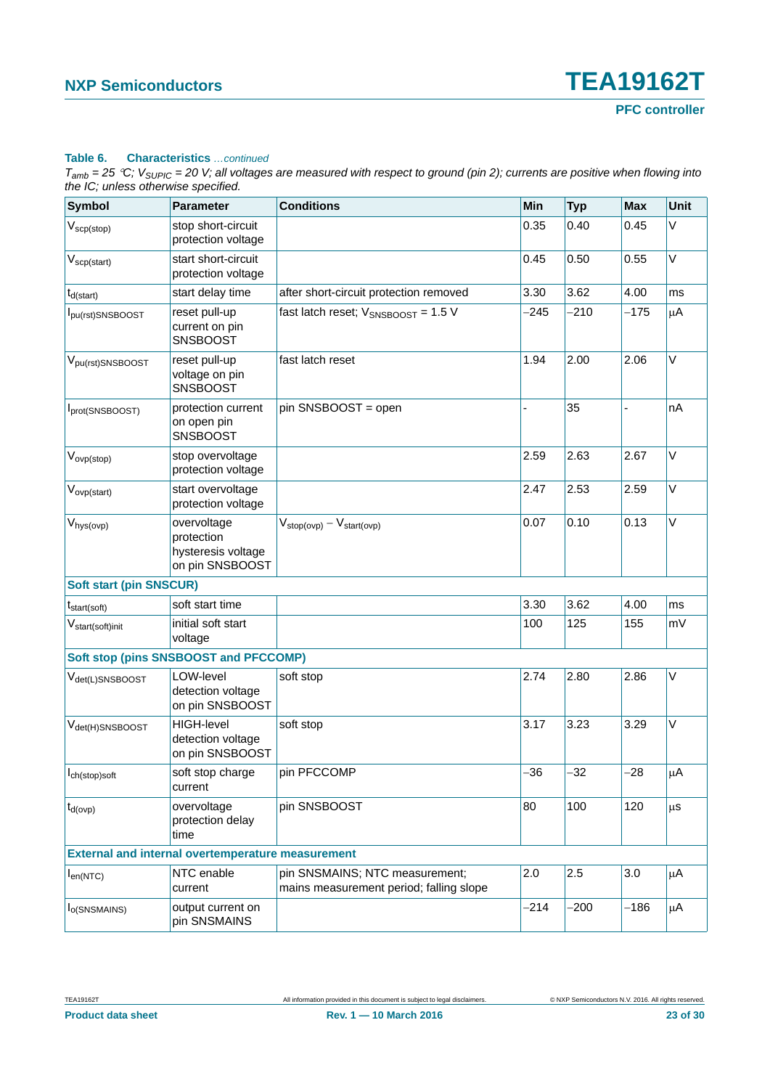#### **Table 6. Characteristics** *…continued*

| <b>Symbol</b>                              | <b>Parameter</b>                                                   | <b>Conditions</b>                                                         | Min    | <b>Typ</b> | <b>Max</b> | Unit    |
|--------------------------------------------|--------------------------------------------------------------------|---------------------------------------------------------------------------|--------|------------|------------|---------|
| $V_{\text{scp}(\text{stop})}$              | stop short-circuit<br>protection voltage                           |                                                                           | 0.35   | 0.40       | 0.45       | V       |
| $V_{\text{scp}(\text{start})}$             | start short-circuit<br>protection voltage                          |                                                                           | 0.45   | 0.50       | 0.55       | V       |
| $t_{d(stat)}$                              | start delay time                                                   | after short-circuit protection removed                                    | 3.30   | 3.62       | 4.00       | ms      |
| I <sub>pu(rst)</sub> SNSBOOST              | reset pull-up<br>current on pin<br><b>SNSBOOST</b>                 | fast latch reset; $V_{SNSBOOST} = 1.5 V$                                  | $-245$ | $-210$     | $-175$     | μA      |
| $V_{pu(rst)$ SNSBOOST                      | reset pull-up<br>voltage on pin<br><b>SNSBOOST</b>                 | fast latch reset                                                          | 1.94   | 2.00       | 2.06       | V       |
| Iprot(SNSBOOST)                            | protection current<br>on open pin<br><b>SNSBOOST</b>               | pin SNSBOOST = open                                                       |        | 35         |            | nA      |
| $V_{ovp(\text{stop})}$                     | stop overvoltage<br>protection voltage                             |                                                                           | 2.59   | 2.63       | 2.67       | V       |
| $V_{ovp(start)}$                           | start overvoltage<br>protection voltage                            |                                                                           | 2.47   | 2.53       | 2.59       | $\vee$  |
| $V_{\text{hys}(\text{ovp})}$               | overvoltage<br>protection<br>hysteresis voltage<br>on pin SNSBOOST | $V_{stop(ovp)} - V_{start(ovp)}$                                          | 0.07   | 0.10       | 0.13       | V       |
| <b>Soft start (pin SNSCUR)</b>             |                                                                    |                                                                           |        |            |            |         |
| $t_{start(soft)}$                          | soft start time                                                    |                                                                           | 3.30   | 3.62       | 4.00       | ms      |
| $V_{\text{start}(\text{soft})\text{init}}$ | initial soft start<br>voltage                                      |                                                                           | 100    | 125        | 155        | mV      |
|                                            | <b>Soft stop (pins SNSBOOST and PFCCOMP)</b>                       |                                                                           |        |            |            |         |
| $V_{\text{det}(L)$ SNSBOOST                | LOW-level<br>detection voltage<br>on pin SNSBOOST                  | soft stop                                                                 | 2.74   | 2.80       | 2.86       | V       |
| V <sub>det(H)</sub> SNSBOOST               | <b>HIGH-level</b><br>detection voltage<br>on pin SNSBOOST          | soft stop                                                                 | 3.17   | 3.23       | 3.29       | V       |
| $I_{\text{ch}(\text{stop})$ soft           | soft stop charge<br>current                                        | pin PFCCOMP                                                               | -36    | $-32$      | $-28$      | μA      |
| $t_{d(ovp)}$                               | overvoltage<br>protection delay<br>time                            | pin SNSBOOST                                                              | 80     | 100        | 120        | μS      |
|                                            | <b>External and internal overtemperature measurement</b>           |                                                                           |        |            |            |         |
| $I_{en(NTC)}$                              | NTC enable<br>current                                              | pin SNSMAINS; NTC measurement;<br>mains measurement period; falling slope | 2.0    | 2.5        | 3.0        | $\mu$ A |
| I <sub>O</sub> (SNSMAINS)                  | output current on<br>pin SNSMAINS                                  |                                                                           | $-214$ | -200       | $-186$     | μA      |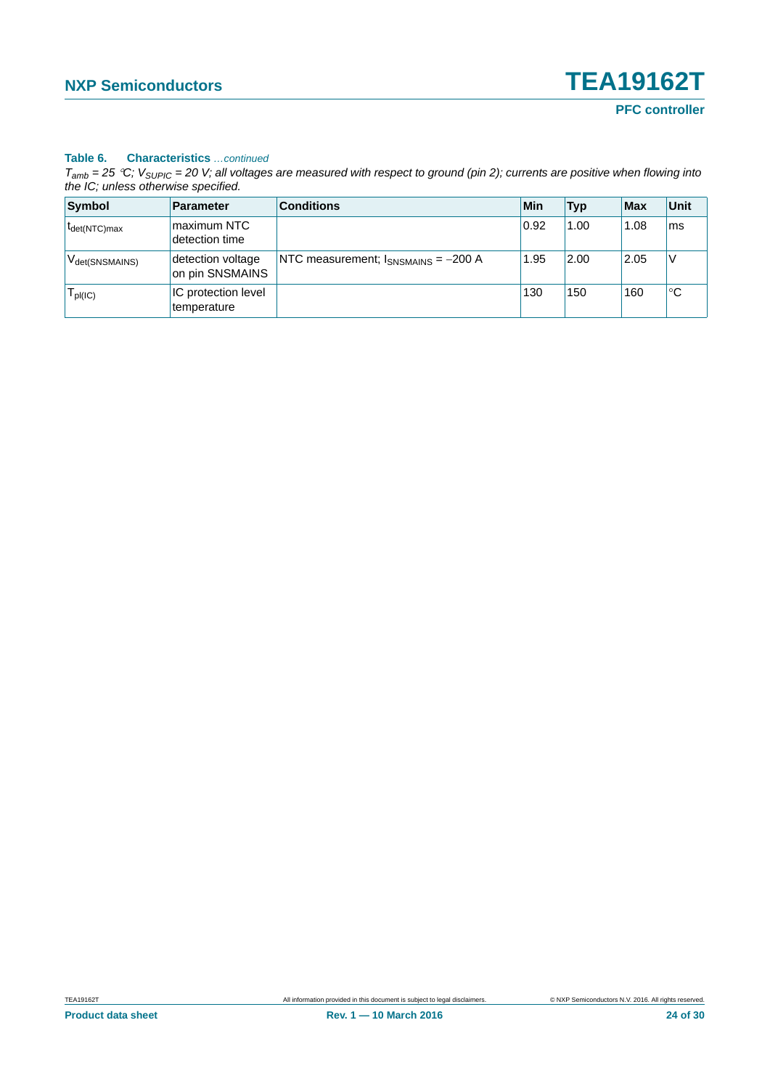#### **Table 6. Characteristics** *…continued*

| Symbol                     | <b>Parameter</b>                     | <b>Conditions</b>                        | Min  | <b>Typ</b> | $ $ Max | <b>Unit</b> |
|----------------------------|--------------------------------------|------------------------------------------|------|------------|---------|-------------|
| $t_{\text{det}(NTC)max}$   | maximum NTC<br>detection time        |                                          | 0.92 | 1.00       | 1.08    | ms          |
| V <sub>det(SNSMAINS)</sub> | detection voltage<br>on pin SNSMAINS | NTC measurement; $I_{SNSMAINS}$ = -200 A | 1.95 | 2.00       | 2.05    | ν           |
| pl(IC)                     | IC protection level<br>temperature   |                                          | 130  | 150        | 160     | ℃           |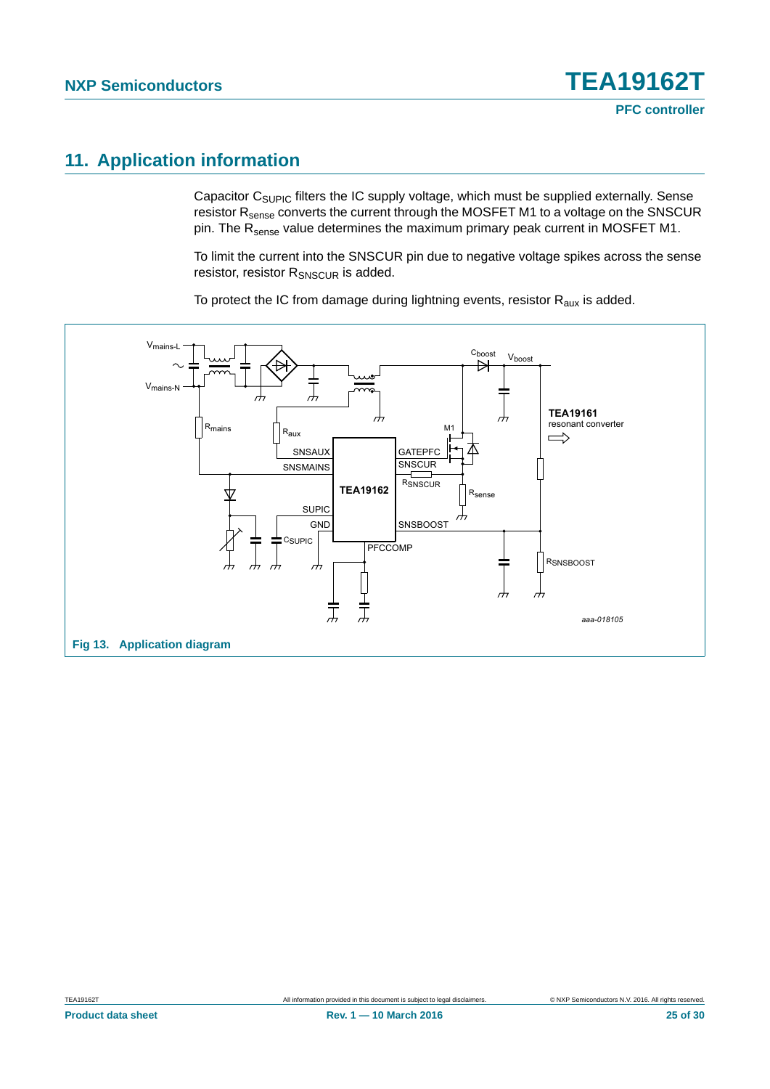## <span id="page-24-1"></span>**11. Application information**

Capacitor C<sub>SUPIC</sub> filters the IC supply voltage, which must be supplied externally. Sense resistor R<sub>sense</sub> converts the current through the MOSFET M1 to a voltage on the SNSCUR pin. The R<sub>sense</sub> value determines the maximum primary peak current in MOSFET M1.

To limit the current into the SNSCUR pin due to negative voltage spikes across the sense resistor, resistor R<sub>SNSCUR</sub> is added.

To protect the IC from damage during lightning events, resistor  $R_{\text{aux}}$  is added.

<span id="page-24-0"></span>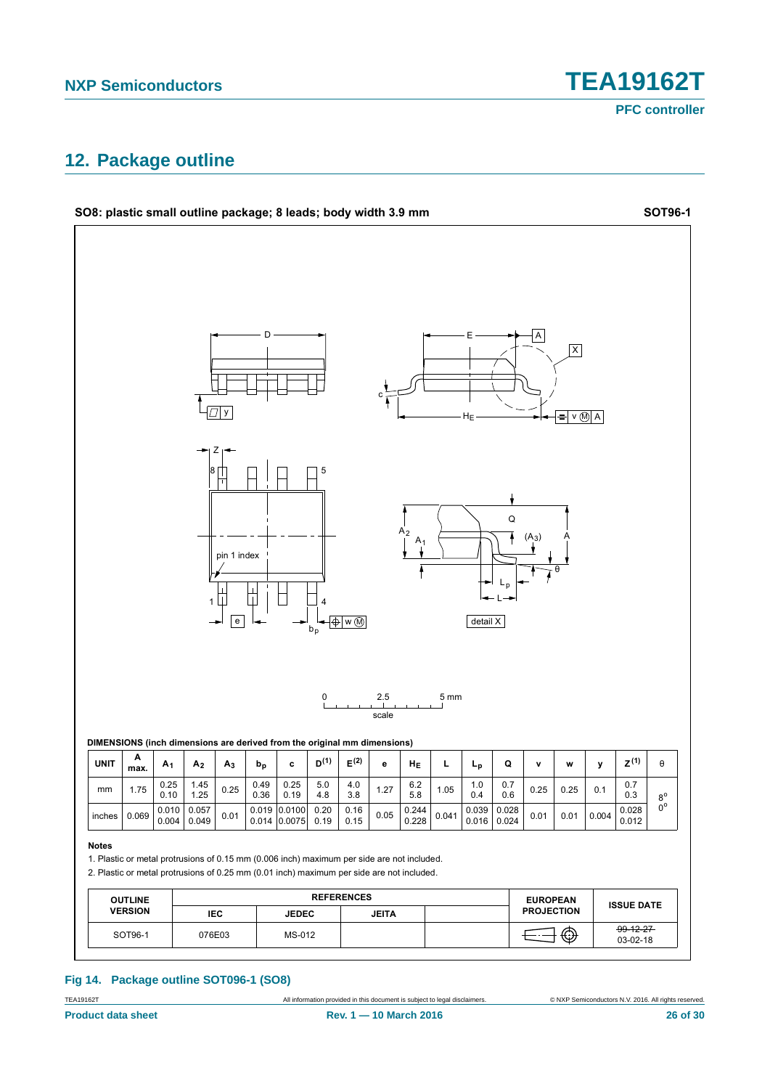## <span id="page-25-0"></span>**12. Package outline**



**Fig 14. Package outline SOT096-1 (SO8)**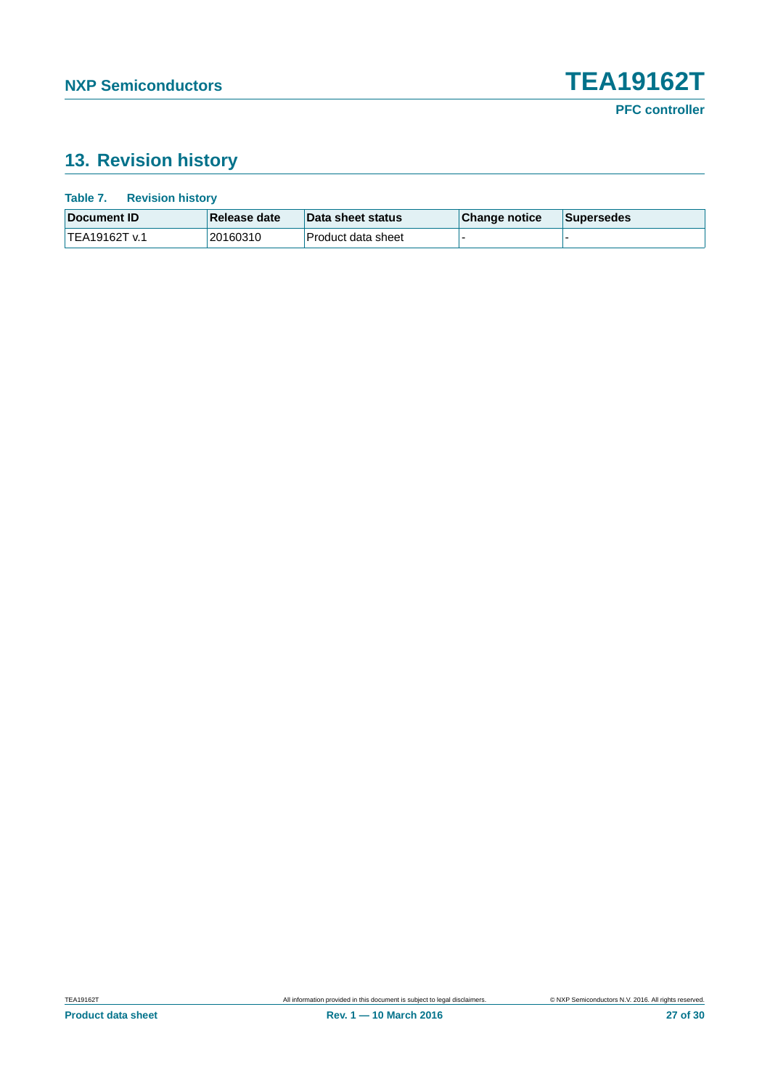## <span id="page-26-0"></span>**13. Revision history**

| Table 7.<br><b>Revision history</b> |              |                    |               |                   |
|-------------------------------------|--------------|--------------------|---------------|-------------------|
| Document <b>ID</b>                  | Release date | Data sheet status  | Change notice | <b>Supersedes</b> |
| TEA19162T v.1                       | 20160310     | Product data sheet |               |                   |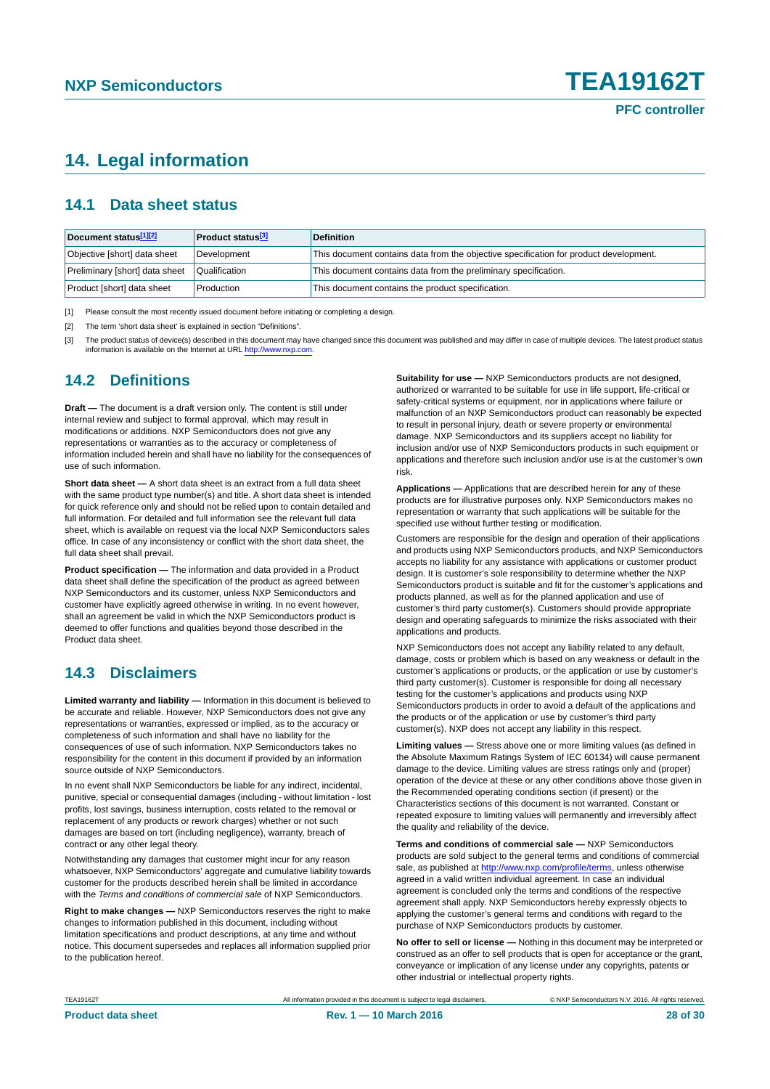## <span id="page-27-3"></span>**14. Legal information**

#### <span id="page-27-4"></span>**14.1 Data sheet status**

| Document status[1][2]          | <b>Product status</b> <sup>[3]</sup> | <b>Definition</b>                                                                     |
|--------------------------------|--------------------------------------|---------------------------------------------------------------------------------------|
| Objective [short] data sheet   | Development                          | This document contains data from the objective specification for product development. |
| Preliminary [short] data sheet | Qualification                        | This document contains data from the preliminary specification.                       |
| Product [short] data sheet     | Production                           | This document contains the product specification.                                     |

<span id="page-27-0"></span>[1] Please consult the most recently issued document before initiating or completing a design.

<span id="page-27-1"></span>[2] The term 'short data sheet' is explained in section "Definitions".

<span id="page-27-2"></span>[3] The product status of device(s) described in this document may have changed since this document was published and may differ in case of multiple devices. The latest product status<br>information is available on the Intern

#### <span id="page-27-5"></span>**14.2 Definitions**

**Draft —** The document is a draft version only. The content is still under internal review and subject to formal approval, which may result in modifications or additions. NXP Semiconductors does not give any representations or warranties as to the accuracy or completeness of information included herein and shall have no liability for the consequences of use of such information.

**Short data sheet —** A short data sheet is an extract from a full data sheet with the same product type number(s) and title. A short data sheet is intended for quick reference only and should not be relied upon to contain detailed and full information. For detailed and full information see the relevant full data sheet, which is available on request via the local NXP Semiconductors sales office. In case of any inconsistency or conflict with the short data sheet, the full data sheet shall prevail.

**Product specification —** The information and data provided in a Product data sheet shall define the specification of the product as agreed between NXP Semiconductors and its customer, unless NXP Semiconductors and customer have explicitly agreed otherwise in writing. In no event however, shall an agreement be valid in which the NXP Semiconductors product is deemed to offer functions and qualities beyond those described in the Product data sheet.

#### <span id="page-27-6"></span>**14.3 Disclaimers**

**Limited warranty and liability —** Information in this document is believed to be accurate and reliable. However, NXP Semiconductors does not give any representations or warranties, expressed or implied, as to the accuracy or completeness of such information and shall have no liability for the consequences of use of such information. NXP Semiconductors takes no responsibility for the content in this document if provided by an information source outside of NXP Semiconductors.

In no event shall NXP Semiconductors be liable for any indirect, incidental, punitive, special or consequential damages (including - without limitation - lost profits, lost savings, business interruption, costs related to the removal or replacement of any products or rework charges) whether or not such damages are based on tort (including negligence), warranty, breach of contract or any other legal theory.

Notwithstanding any damages that customer might incur for any reason whatsoever, NXP Semiconductors' aggregate and cumulative liability towards customer for the products described herein shall be limited in accordance with the *Terms and conditions of commercial sale* of NXP Semiconductors.

**Right to make changes —** NXP Semiconductors reserves the right to make changes to information published in this document, including without limitation specifications and product descriptions, at any time and without notice. This document supersedes and replaces all information supplied prior to the publication hereof.

**Suitability for use —** NXP Semiconductors products are not designed, authorized or warranted to be suitable for use in life support, life-critical or safety-critical systems or equipment, nor in applications where failure or malfunction of an NXP Semiconductors product can reasonably be expected to result in personal injury, death or severe property or environmental damage. NXP Semiconductors and its suppliers accept no liability for inclusion and/or use of NXP Semiconductors products in such equipment or applications and therefore such inclusion and/or use is at the customer's own risk.

**Applications —** Applications that are described herein for any of these products are for illustrative purposes only. NXP Semiconductors makes no representation or warranty that such applications will be suitable for the specified use without further testing or modification.

Customers are responsible for the design and operation of their applications and products using NXP Semiconductors products, and NXP Semiconductors accepts no liability for any assistance with applications or customer product design. It is customer's sole responsibility to determine whether the NXP Semiconductors product is suitable and fit for the customer's applications and products planned, as well as for the planned application and use of customer's third party customer(s). Customers should provide appropriate design and operating safeguards to minimize the risks associated with their applications and products.

NXP Semiconductors does not accept any liability related to any default, damage, costs or problem which is based on any weakness or default in the customer's applications or products, or the application or use by customer's third party customer(s). Customer is responsible for doing all necessary testing for the customer's applications and products using NXP Semiconductors products in order to avoid a default of the applications and the products or of the application or use by customer's third party customer(s). NXP does not accept any liability in this respect.

**Limiting values —** Stress above one or more limiting values (as defined in the Absolute Maximum Ratings System of IEC 60134) will cause permanent damage to the device. Limiting values are stress ratings only and (proper) operation of the device at these or any other conditions above those given in the Recommended operating conditions section (if present) or the Characteristics sections of this document is not warranted. Constant or repeated exposure to limiting values will permanently and irreversibly affect the quality and reliability of the device.

**Terms and conditions of commercial sale —** NXP Semiconductors products are sold subject to the general terms and conditions of commercial sale, as published at<http://www.nxp.com/profile/terms>, unless otherwise agreed in a valid written individual agreement. In case an individual agreement is concluded only the terms and conditions of the respective agreement shall apply. NXP Semiconductors hereby expressly objects to applying the customer's general terms and conditions with regard to the purchase of NXP Semiconductors products by customer.

**No offer to sell or license —** Nothing in this document may be interpreted or construed as an offer to sell products that is open for acceptance or the grant, conveyance or implication of any license under any copyrights, patents or other industrial or intellectual property rights.

TEA19162T All information provided in this document is subject to legal disclaimers. © NXP Semiconductors N.V. 2016. All rights reserved.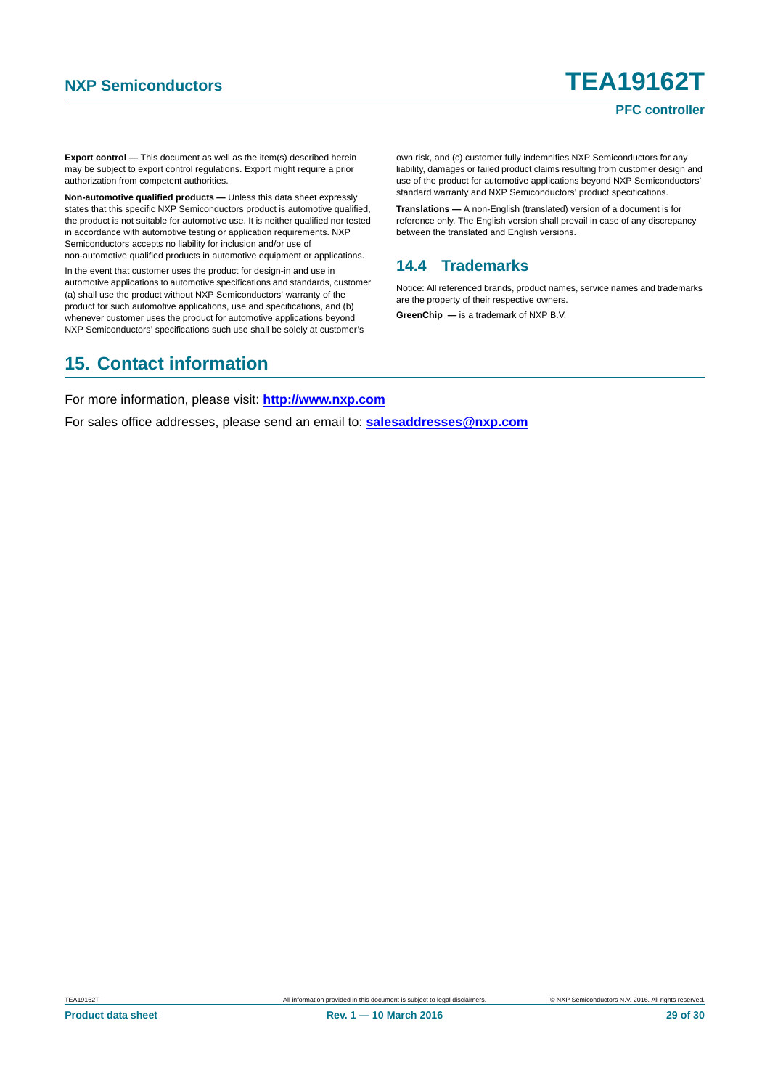#### **PFC controller**

**Export control —** This document as well as the item(s) described herein may be subject to export control regulations. Export might require a prior authorization from competent authorities.

**Non-automotive qualified products —** Unless this data sheet expressly states that this specific NXP Semiconductors product is automotive qualified, the product is not suitable for automotive use. It is neither qualified nor tested in accordance with automotive testing or application requirements. NXP Semiconductors accepts no liability for inclusion and/or use of non-automotive qualified products in automotive equipment or applications.

In the event that customer uses the product for design-in and use in automotive applications to automotive specifications and standards, customer (a) shall use the product without NXP Semiconductors' warranty of the product for such automotive applications, use and specifications, and (b) whenever customer uses the product for automotive applications beyond NXP Semiconductors' specifications such use shall be solely at customer's

own risk, and (c) customer fully indemnifies NXP Semiconductors for any liability, damages or failed product claims resulting from customer design and use of the product for automotive applications beyond NXP Semiconductors' standard warranty and NXP Semiconductors' product specifications.

**Translations —** A non-English (translated) version of a document is for reference only. The English version shall prevail in case of any discrepancy between the translated and English versions.

#### <span id="page-28-0"></span>**14.4 Trademarks**

Notice: All referenced brands, product names, service names and trademarks are the property of their respective owners.

**GreenChip —** is a trademark of NXP B.V.

## <span id="page-28-1"></span>**15. Contact information**

For more information, please visit: **http://www.nxp.com**

For sales office addresses, please send an email to: **salesaddresses@nxp.com**